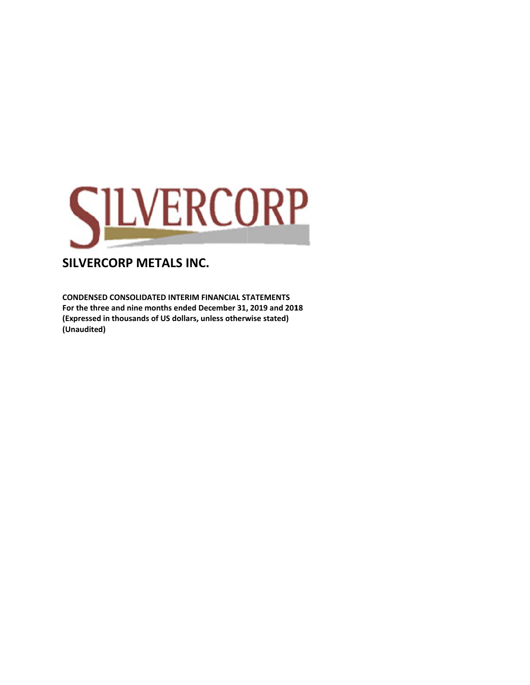

**CONDENSE ED CONSOLIDA ATED INTERIM M FINANCIAL ST TATEMENTS**  For the three and nine months ended December 31, 2019 and 2018 (Expressed in thousands of US dollars, unless otherwise stated) **(Unaudited d)**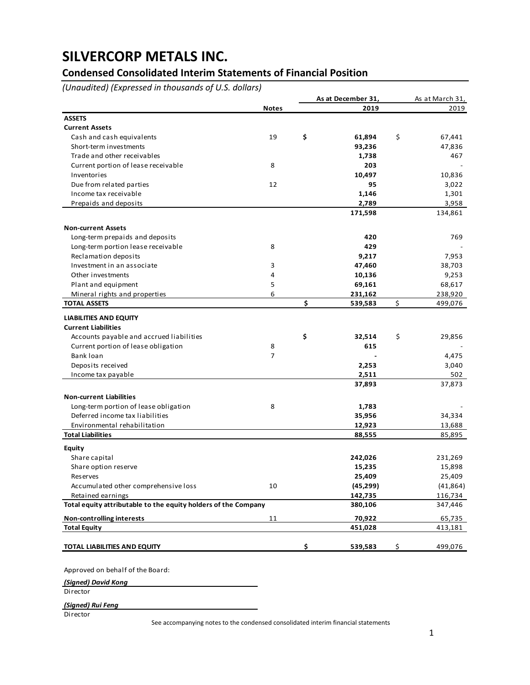## **Condensed Consolidated Interim Statements of Financial Position**

*(Unaudited) (Expressed in thousands of U.S. dollars)*

|                                                                |              | As at December 31, | As at March 31, |
|----------------------------------------------------------------|--------------|--------------------|-----------------|
|                                                                | <b>Notes</b> | 2019               | 2019            |
| <b>ASSETS</b>                                                  |              |                    |                 |
| <b>Current Assets</b>                                          |              |                    |                 |
| Cash and cash equivalents                                      | 19           | \$<br>61,894       | \$<br>67,441    |
| Short-term investments                                         |              | 93,236             | 47,836          |
| Trade and other receivables                                    |              | 1,738              | 467             |
| Current portion of lease receivable                            | 8            | 203                |                 |
| Inventories                                                    |              | 10,497             | 10,836          |
| Due from related parties                                       | 12           | 95                 | 3,022           |
| Income tax receivable                                          |              | 1,146              | 1,301           |
| Prepaids and deposits                                          |              | 2,789              | 3,958           |
|                                                                |              | 171,598            | 134,861         |
| <b>Non-current Assets</b>                                      |              |                    |                 |
| Long-term prepaids and deposits                                |              | 420                | 769             |
| Long-term portion lease receivable                             | 8            | 429                |                 |
| Reclamation deposits                                           |              | 9,217              | 7,953           |
| Investment in an associate                                     | 3            | 47,460             | 38,703          |
| Other investments                                              | 4            | 10,136             | 9,253           |
| Plant and equipment                                            | 5            | 69,161             | 68,617          |
| Mineral rights and properties                                  | 6            | 231,162            | 238,920         |
| <b>TOTAL ASSETS</b>                                            |              | \$<br>539,583      | \$<br>499,076   |
| <b>LIABILITIES AND EQUITY</b>                                  |              |                    |                 |
| <b>Current Liabilities</b>                                     |              |                    |                 |
| Accounts payable and accrued liabilities                       |              | \$<br>32,514       | \$<br>29,856    |
| Current portion of lease obligation                            | 8            | 615                |                 |
| Bank loan                                                      | 7            |                    | 4,475           |
| Deposits received                                              |              | 2,253              | 3,040           |
| Income tax payable                                             |              | 2,511              | 502             |
|                                                                |              | 37,893             | 37,873          |
| <b>Non-current Liabilities</b>                                 |              |                    |                 |
| Long-term portion of lease obligation                          | 8            | 1,783              |                 |
| Deferred income tax liabilities                                |              | 35,956             | 34,334          |
| Environmental rehabilitation                                   |              | 12,923             | 13,688          |
| <b>Total Liabilities</b>                                       |              | 88,555             | 85,895          |
| <b>Equity</b>                                                  |              |                    |                 |
| Share capital                                                  |              | 242,026            | 231,269         |
| Share option reserve                                           |              | 15,235             | 15,898          |
| <b>Reserves</b>                                                |              | 25,409             | 25,409          |
| Accumulated other comprehensive loss                           | 10           | (45, 299)          | (41, 864)       |
| Retained earnings                                              |              | 142,735            | 116,734         |
| Total equity attributable to the equity holders of the Company |              | 380,106            | 347,446         |
| <b>Non-controlling interests</b>                               | 11           | 70,922             | 65,735          |
| <b>Total Equity</b>                                            |              | 451,028            | 413,181         |
| TOTAL LIABILITIES AND EQUITY                                   |              | \$<br>539,583      | \$<br>499,076   |
|                                                                |              |                    |                 |

#### Approved on behalf of the Board:

*(Signed) David Kong*

Director

*(Signed) Rui Feng*

Director

See accompanying notes to the condensed consolidated interim financial statements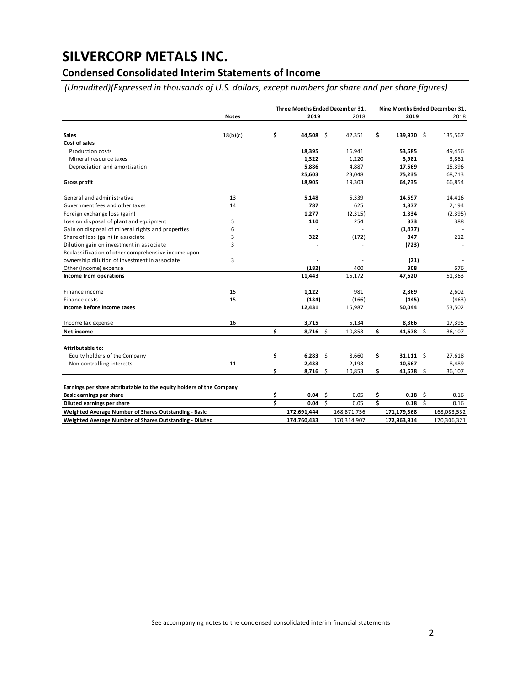## **Condensed Consolidated Interim Statements of Income**

 *(Unaudited)(Expressed in thousands of U.S. dollars, except numbers for share and per share figures)*

|                                                                      |              |    | Three Months Ended December 31, |      |             | Nine Months Ended December 31, |             |     |             |
|----------------------------------------------------------------------|--------------|----|---------------------------------|------|-------------|--------------------------------|-------------|-----|-------------|
|                                                                      | <b>Notes</b> |    | 2019                            |      | 2018        |                                | 2019        |     | 2018        |
|                                                                      |              |    |                                 |      |             |                                |             |     |             |
| <b>Sales</b>                                                         | 18(b)(c)     | \$ | 44,508                          | - \$ | 42,351      | \$                             | 139,970 \$  |     | 135,567     |
| Cost of sales                                                        |              |    |                                 |      |             |                                |             |     |             |
| <b>Production costs</b>                                              |              |    | 18,395                          |      | 16,941      |                                | 53,685      |     | 49,456      |
| Mineral resource taxes                                               |              |    | 1,322                           |      | 1,220       |                                | 3,981       |     | 3,861       |
| Depreciation and amortization                                        |              |    | 5,886                           |      | 4,887       |                                | 17,569      |     | 15,396      |
|                                                                      |              |    | 25,603                          |      | 23,048      |                                | 75,235      |     | 68,713      |
| <b>Gross profit</b>                                                  |              |    | 18,905                          |      | 19,303      |                                | 64,735      |     | 66,854      |
| General and administrative                                           | 13           |    | 5,148                           |      | 5,339       |                                | 14,597      |     | 14,416      |
| Government fees and other taxes                                      | 14           |    | 787                             |      | 625         |                                | 1,877       |     | 2,194       |
| Foreign exchange loss (gain)                                         |              |    | 1,277                           |      | (2, 315)    |                                | 1,334       |     | (2, 395)    |
| Loss on disposal of plant and equipment                              | 5            |    | 110                             |      | 254         |                                | 373         |     | 388         |
| Gain on disposal of mineral rights and properties                    | 6            |    |                                 |      |             |                                | (1, 477)    |     |             |
| Share of loss (gain) in associate                                    | 3            |    | 322                             |      | (172)       |                                | 847         |     | 212         |
| Dilution gain on investment in associate                             | 3            |    |                                 |      |             |                                | (723)       |     |             |
| Reclassification of other comprehensive income upon                  |              |    |                                 |      |             |                                |             |     |             |
| ownership dilution of investment in associate                        | 3            |    |                                 |      |             |                                | (21)        |     |             |
| Other (income) expense                                               |              |    | (182)                           |      | 400         |                                | 308         |     | 676         |
| Income from operations                                               |              |    | 11,443                          |      | 15,172      |                                | 47,620      |     | 51,363      |
| Finance income                                                       | 15           |    | 1,122                           |      | 981         |                                | 2,869       |     | 2,602       |
| Finance costs                                                        | 15           |    | (134)                           |      | (166)       |                                | (445)       |     | (463)       |
| Income before income taxes                                           |              |    | 12,431                          |      | 15,987      |                                | 50,044      |     | 53,502      |
| Income tax expense                                                   | 16           |    | 3,715                           |      | 5,134       |                                | 8,366       |     | 17,395      |
| Net income                                                           |              | \$ | $8,716$ \$                      |      | 10,853      | \$                             | 41,678 \$   |     | 36,107      |
| Attributable to:                                                     |              |    |                                 |      |             |                                |             |     |             |
| Equity holders of the Company                                        |              | \$ | $6,283$ \$                      |      | 8,660       | \$                             | $31,111$ \$ |     | 27,618      |
| Non-controlling interests                                            | 11           |    | 2,433                           |      | 2,193       |                                | 10,567      |     | 8,489       |
|                                                                      |              | Ś  | 8,716                           | \$   | 10,853      | \$                             | 41,678 \$   |     | 36,107      |
| Earnings per share attributable to the equity holders of the Company |              |    |                                 |      |             |                                |             |     |             |
| Basic earnings per share                                             |              | \$ | 0.04                            | -\$  | 0.05        | \$                             | $0.18$ \$   |     | 0.16        |
| Diluted earnings per share                                           |              | Ś  | 0.04                            | Ŝ.   | 0.05        | \$                             | 0.18        | -\$ | 0.16        |
| Weighted Average Number of Shares Outstanding - Basic                |              |    | 172,691,444                     |      | 168,871,756 |                                | 171,179,368 |     | 168,083,532 |
| Weighted Average Number of Shares Outstanding - Diluted              |              |    | 174,760,433                     |      | 170,314,907 |                                | 172,963,914 |     | 170,306,321 |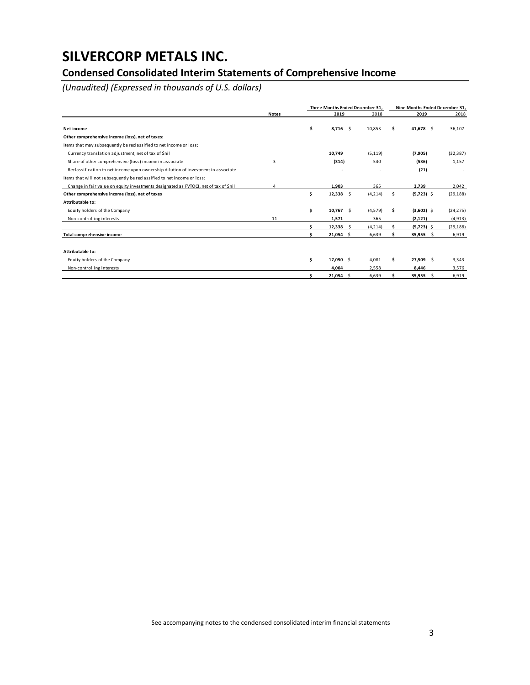## **Condensed Consolidated Interim Statements of Comprehensive Income**

*(Unaudited) (Expressed in thousands of U.S. dollars)*

|                                                                                      |              | Three Months Ended December 31. |          | Nine Months Ended December 31, |              |           |  |  |  |
|--------------------------------------------------------------------------------------|--------------|---------------------------------|----------|--------------------------------|--------------|-----------|--|--|--|
|                                                                                      | <b>Notes</b> | 2019                            | 2018     |                                | 2019         | 2018      |  |  |  |
| Net income                                                                           |              | \$<br>8,716<br>- \$             | 10,853   | \$.                            | 41,678 \$    | 36,107    |  |  |  |
| Other comprehensive income (loss), net of taxes:                                     |              |                                 |          |                                |              |           |  |  |  |
| Items that may subsequently be reclassified to net income or loss:                   |              |                                 |          |                                |              |           |  |  |  |
| Currency translation adjustment, net of tax of \$nil                                 |              | 10,749                          | (5, 119) |                                | (7,905)      | (32, 387) |  |  |  |
| Share of other comprehensive (loss) income in associate                              | 3            | (314)                           | 540      |                                | (536)        | 1,157     |  |  |  |
| Reclassification to net income upon ownership dilution of investment in associate    |              |                                 |          |                                | (21)         |           |  |  |  |
| Items that will not subsequently be reclassified to net income or loss:              |              |                                 |          |                                |              |           |  |  |  |
| Change in fair value on equity investments designated as FVTOCI, net of tax of \$nil | Δ            | 1.903                           | 365      |                                | 2,739        | 2,042     |  |  |  |
| Other comprehensive income (loss), net of taxes                                      |              | \$<br>\$<br>12,338              | (4, 214) | \$.                            | $(5,723)$ \$ | (29, 188) |  |  |  |
| Attributable to:                                                                     |              |                                 |          |                                |              |           |  |  |  |
| Equity holders of the Company                                                        |              | \$<br>$10,767$ \$               | (4,579)  | \$                             | $(3,602)$ \$ | (24, 275) |  |  |  |
| Non-controlling interests                                                            | 11           | 1,571                           | 365      |                                | (2, 121)     | (4, 913)  |  |  |  |
|                                                                                      |              | 12,338<br>Ŝ.                    | (4, 214) |                                | $(5,723)$ \$ | (29, 188) |  |  |  |
| Total comprehensive income                                                           |              | $21,054$ \$                     | 6,639    |                                | $35,955$ \$  | 6,919     |  |  |  |
|                                                                                      |              |                                 |          |                                |              |           |  |  |  |
| Attributable to:                                                                     |              |                                 |          |                                |              |           |  |  |  |
| Equity holders of the Company                                                        |              | \$<br>17,050 \$                 | 4.081    | Ś                              | $27,509$ \$  | 3,343     |  |  |  |
| Non-controlling interests                                                            |              | 4,004                           | 2,558    |                                | 8.446        | 3.576     |  |  |  |
|                                                                                      |              | $21,054$ \$                     | 6.639    |                                | $35,955$ \$  | 6.919     |  |  |  |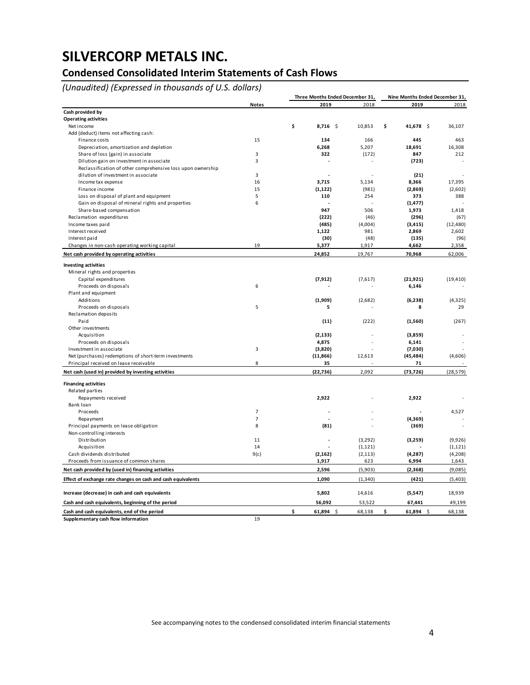## **Condensed Consolidated Interim Statements of Cash Flows**

*(Unaudited) (Expressed in thousands of U.S. dollars)*

|                                                              |                | Three Months Ended December 31, |          | Nine Months Ended December 31, |           |  |
|--------------------------------------------------------------|----------------|---------------------------------|----------|--------------------------------|-----------|--|
|                                                              | <b>Notes</b>   | 2019                            | 2018     | 2019                           | 2018      |  |
| Cash provided by                                             |                |                                 |          |                                |           |  |
| <b>Operating activities</b>                                  |                |                                 |          |                                |           |  |
| Net income                                                   |                | \$<br>$8,716$ \$                | 10,853   | \$<br>41,678 \$                | 36,107    |  |
| Add (deduct) items not affecting cash:                       |                |                                 |          |                                |           |  |
| Finance costs                                                | 15             | 134                             | 166      | 445                            | 463       |  |
| Depreciation, amortization and depletion                     |                | 6,268                           | 5,207    | 18,691                         | 16,308    |  |
| Share of loss (gain) in associate                            | 3              | 322                             | (172)    | 847                            | 212       |  |
| Dilution gain on investment in associate                     | 3              |                                 |          | (723)                          |           |  |
| Reclassification of other comprehensive loss upon ownership  |                |                                 |          |                                |           |  |
| dilution of investment in associate                          | 3              |                                 |          | (21)                           |           |  |
| Income tax expense                                           | 16             | 3,715                           | 5,134    | 8,366                          | 17,395    |  |
| Finance income                                               | 15             | (1, 122)                        | (981)    | (2,869)                        | (2,602)   |  |
| Loss on disposal of plant and equipment                      | 5              | 110                             | 254      | 373                            | 388       |  |
| Gain on disposal of mineral rights and properties            | 6              |                                 |          | (1, 477)                       |           |  |
| Share-based compensation                                     |                | 947                             | 506      | 1,973                          | 1,418     |  |
| Reclamation expenditures                                     |                | (222)                           | (46)     | (296)                          | (67)      |  |
| Income taxes paid                                            |                | (485)                           | (4,004)  | (3, 415)                       | (12, 480) |  |
| Interest received                                            |                | 1,122                           | 981      | 2,869                          | 2,602     |  |
| Interest paid                                                |                | (30)                            | (48)     | (135)                          | (96)      |  |
| Changes in non-cash operating working capital                | 19             | 5,377                           | 1,917    | 4,662                          | 2,358     |  |
| Net cash provided by operating activities                    |                | 24,852                          | 19,767   | 70,968                         | 62,006    |  |
| <b>Investing activities</b>                                  |                |                                 |          |                                |           |  |
| Mineral rights and properties                                |                |                                 |          |                                |           |  |
| Capital expenditures                                         |                | (7, 912)                        | (7,617)  | (21, 921)                      | (19, 410) |  |
| Proceeds on disposals                                        | 6              |                                 |          | 6,146                          |           |  |
| Plant and equipment                                          |                |                                 |          |                                |           |  |
| Additions                                                    |                | (1,909)                         | (2,682)  | (6, 238)                       | (4, 325)  |  |
| Proceeds on disposals                                        | 5              | 5                               |          | 8                              | 29        |  |
| Reclamation deposits                                         |                |                                 |          |                                |           |  |
| Paid                                                         |                | (11)                            | (222)    | (1,560)                        | (267)     |  |
| Other investments                                            |                |                                 |          |                                |           |  |
| Acquisition                                                  |                | (2, 133)                        |          | (3,859)                        |           |  |
| Proceeds on disposals                                        |                | 4,875                           |          | 6,141                          |           |  |
| Investment in associate                                      | 3              | (3,820)                         |          | (7,030)                        |           |  |
| Net (purchases) redemptions of short-term investments        |                | (11, 866)                       | 12,613   | (45, 484)                      | (4,606)   |  |
| Principal received on lease receivable                       | 8              | 35                              |          | 71                             |           |  |
| Net cash (used in) provided by investing activities          |                | (22, 736)                       | 2,092    | (73, 726)                      | (28, 579) |  |
|                                                              |                |                                 |          |                                |           |  |
| <b>Financing activities</b>                                  |                |                                 |          |                                |           |  |
| Related parties                                              |                |                                 |          |                                |           |  |
| Repayments received                                          |                | 2,922                           |          | 2,922                          |           |  |
| Bank loan                                                    |                |                                 |          |                                |           |  |
| Proceeds                                                     | $\overline{7}$ |                                 |          |                                | 4,527     |  |
| Repayment                                                    | $\overline{7}$ |                                 |          | (4,369)                        |           |  |
| Principal payments on lease obligation                       | 8              | (81)                            |          | (369)                          |           |  |
| Non-controlling interests                                    |                |                                 |          |                                |           |  |
| Distribution                                                 | 11             |                                 | (3,292)  | (3,259)                        | (9,926)   |  |
| Acquisition                                                  | 14             |                                 | (1, 121) |                                | (1, 121)  |  |
| Cash dividends distributed                                   | 9(c)           | (2, 162)                        | (2, 113) | (4, 287)                       | (4, 208)  |  |
| Proceeds from issuance of common shares                      |                | 1,917                           | 623      | 6,994                          | 1,643     |  |
| Net cash provided by (used in) financing activities          |                | 2,596                           | (5,903)  | (2,368)                        | (9,085)   |  |
| Effect of exchange rate changes on cash and cash equivalents |                | 1,090                           | (1, 340) | (421)                          | (5,403)   |  |
|                                                              |                |                                 |          |                                |           |  |
| Increase (decrease) in cash and cash equivalents             |                | 5,802                           | 14,616   | (5, 547)                       | 18,939    |  |
| Cash and cash equivalents, beginning of the period           |                | 56,092                          | 53,522   | 67,441                         | 49,199    |  |
| Cash and cash equivalents, end of the period                 |                | \$<br>$61,894$ \$               | 68,138   | \$<br>$61,894$ \$              | 68,138    |  |
| Supplementary cash flow information                          | 19             |                                 |          |                                |           |  |

See accompanying notes to the condensed consolidated interim financial statements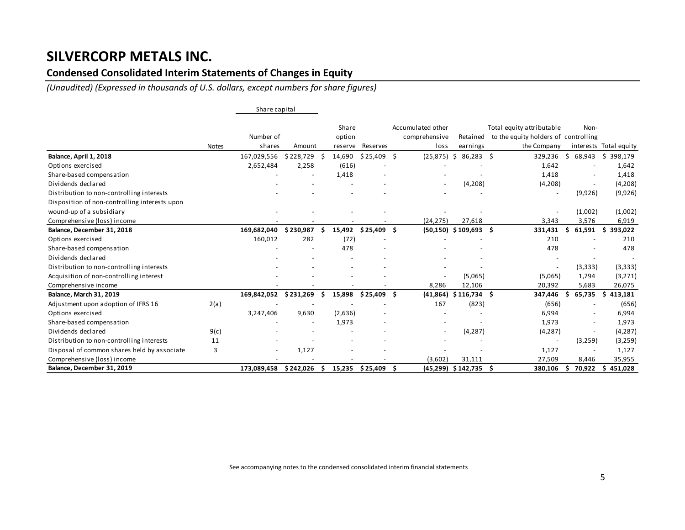## **Condensed Consolidated Interim Statements of Changes in Equity**

*(Unaudited) (Expressed in thousands of U.S. dollars, except numbers for share figures)*

|                                               |              | Share capital            |            |    |                 |                    |     |                                    |                         |                                                                   |     |                          |                        |
|-----------------------------------------------|--------------|--------------------------|------------|----|-----------------|--------------------|-----|------------------------------------|-------------------------|-------------------------------------------------------------------|-----|--------------------------|------------------------|
|                                               |              | Number of                |            |    | Share<br>option |                    |     | Accumulated other<br>comprehensive | Retained                | Total equity attributable<br>to the equity holders of controlling |     | Non-                     |                        |
|                                               | <b>Notes</b> | shares                   | Amount     |    | reserve         | <b>Reserves</b>    |     | loss                               | earnings                | the Company                                                       |     |                          | interests Total equity |
| Balance, April 1, 2018                        |              | 167,029,556              | \$228,729  |    | 14,690          | \$25,409           | Ŝ   | (25, 875)                          | \$<br>86,283\$          | 329,236                                                           | Ŝ   | 68,943                   | \$<br>398,179          |
| Options exercised                             |              | 2,652,484                | 2,258      |    | (616)           |                    |     |                                    |                         | 1,642                                                             |     |                          | 1,642                  |
| Share-based compensation                      |              |                          |            |    | 1,418           |                    |     |                                    |                         | 1,418                                                             |     |                          | 1,418                  |
| Dividends declared                            |              |                          |            |    |                 |                    |     |                                    | (4,208)                 | (4,208)                                                           |     |                          | (4,208)                |
| Distribution to non-controlling interests     |              |                          |            |    |                 |                    |     |                                    |                         | $\overline{\phantom{a}}$                                          |     | (9,926)                  | (9,926)                |
| Disposition of non-controlling interests upon |              |                          |            |    |                 |                    |     |                                    |                         |                                                                   |     |                          |                        |
| wound-up of a subsidiary                      |              |                          |            |    |                 |                    |     |                                    |                         | $\overline{\phantom{a}}$                                          |     | (1,002)                  | (1,002)                |
| Comprehensive (loss) income                   |              |                          |            |    |                 |                    |     | (24, 275)                          | 27,618                  | 3,343                                                             |     | 3,576                    | 6,919                  |
| Balance, December 31, 2018                    |              | 169,682,040              | \$230,987  |    | 15,492          | \$25,409           | . Ś | (50, 150)                          | $$109,693$ \$           | 331,431                                                           | Ŝ   | 61,591                   | \$393,022              |
| Options exercised                             |              | 160,012                  | 282        |    | (72)            |                    |     |                                    |                         | 210                                                               |     |                          | 210                    |
| Share-based compensation                      |              |                          |            |    | 478             |                    |     |                                    |                         | 478                                                               |     |                          | 478                    |
| Dividends declared                            |              |                          |            |    |                 |                    |     |                                    |                         |                                                                   |     |                          |                        |
| Distribution to non-controlling interests     |              |                          |            |    |                 |                    |     |                                    |                         |                                                                   |     | (3, 333)                 | (3,333)                |
| Acquisition of non-controlling interest       |              |                          |            |    |                 |                    |     |                                    | (5,065)                 | (5,065)                                                           |     | 1,794                    | (3,271)                |
| Comprehensive income                          |              |                          |            |    |                 |                    |     | 8,286                              | 12,106                  | 20,392                                                            |     | 5,683                    | 26,075                 |
| <b>Balance, March 31, 2019</b>                |              | 169,842,052              | \$231,269  |    | 15,898          | \$25,409           | . Ś | (41, 864)                          | $$116,734$ \$           | 347,446                                                           | \$. | 65,735                   | 413,181<br>S.          |
| Adjustment upon adoption of IFRS 16           | 2(a)         |                          |            |    |                 |                    |     | 167                                | (823)                   | (656)                                                             |     |                          | (656)                  |
| Options exercised                             |              | 3,247,406                | 9,630      |    | (2,636)         |                    |     |                                    |                         | 6,994                                                             |     |                          | 6,994                  |
| Share-based compensation                      |              |                          |            |    | 1,973           |                    |     |                                    |                         | 1,973                                                             |     |                          | 1,973                  |
| Dividends declared                            | 9(c)         |                          |            |    |                 |                    |     |                                    | (4, 287)                | (4, 287)                                                          |     |                          | (4, 287)               |
| Distribution to non-controlling interests     | 11           |                          |            |    |                 |                    |     |                                    |                         | $\overline{\phantom{a}}$                                          |     | (3,259)                  | (3, 259)               |
| Disposal of common shares held by associate   | 3            | $\overline{\phantom{0}}$ | 1,127      |    |                 |                    |     |                                    |                         | 1,127                                                             |     | $\overline{\phantom{a}}$ | 1,127                  |
| Comprehensive (loss) income                   |              |                          |            |    |                 |                    |     | (3,602)                            | 31,111                  | 27,509                                                            |     | 8,446                    | 35,955                 |
| Balance, December 31, 2019                    |              | 173,089,458              | \$ 242,026 | -S |                 | 15,235 \$25,409 \$ |     |                                    | $(45,299)$ \$142,735 \$ | 380,106                                                           | S   | 70,922                   | 451,028<br>S           |

See accompanying notes to the condensed consolidated interim financial statements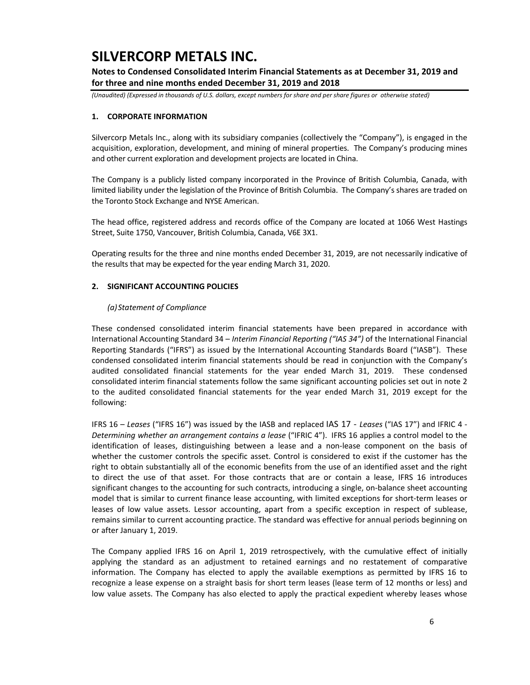**Notes to Condensed Consolidated Interim Financial Statements as at December 31, 2019 and for three and nine months ended December 31, 2019 and 2018** 

*(Unaudited) (Expressed in thousands of U.S. dollars, except numbers for share and per share figures or otherwise stated)*

### **1. CORPORATE INFORMATION**

Silvercorp Metals Inc., along with its subsidiary companies (collectively the "Company"), is engaged in the acquisition, exploration, development, and mining of mineral properties. The Company's producing mines and other current exploration and development projects are located in China.

The Company is a publicly listed company incorporated in the Province of British Columbia, Canada, with limited liability under the legislation of the Province of British Columbia. The Company's shares are traded on the Toronto Stock Exchange and NYSE American.

The head office, registered address and records office of the Company are located at 1066 West Hastings Street, Suite 1750, Vancouver, British Columbia, Canada, V6E 3X1.

Operating results for the three and nine months ended December 31, 2019, are not necessarily indicative of the results that may be expected for the year ending March 31, 2020.

### **2. SIGNIFICANT ACCOUNTING POLICIES**

### *(a)Statement of Compliance*

These condensed consolidated interim financial statements have been prepared in accordance with International Accounting Standard 34 – *Interim Financial Reporting ("IAS 34")* of the International Financial Reporting Standards ("IFRS") as issued by the International Accounting Standards Board ("IASB"). These condensed consolidated interim financial statements should be read in conjunction with the Company's audited consolidated financial statements for the year ended March 31, 2019. These condensed consolidated interim financial statements follow the same significant accounting policies set out in note 2 to the audited consolidated financial statements for the year ended March 31, 2019 except for the following:

IFRS 16 – *Leases* ("IFRS 16") was issued by the IASB and replaced IAS 17 ‐ *Leases* ("IAS 17") and IFRIC 4 ‐ *Determining whether an arrangement contains a lease* ("IFRIC 4"). IFRS 16 applies a control model to the identification of leases, distinguishing between a lease and a non-lease component on the basis of whether the customer controls the specific asset. Control is considered to exist if the customer has the right to obtain substantially all of the economic benefits from the use of an identified asset and the right to direct the use of that asset. For those contracts that are or contain a lease, IFRS 16 introduces significant changes to the accounting for such contracts, introducing a single, on‐balance sheet accounting model that is similar to current finance lease accounting, with limited exceptions for short-term leases or leases of low value assets. Lessor accounting, apart from a specific exception in respect of sublease, remains similar to current accounting practice. The standard was effective for annual periods beginning on or after January 1, 2019.

The Company applied IFRS 16 on April 1, 2019 retrospectively, with the cumulative effect of initially applying the standard as an adjustment to retained earnings and no restatement of comparative information. The Company has elected to apply the available exemptions as permitted by IFRS 16 to recognize a lease expense on a straight basis for short term leases (lease term of 12 months or less) and low value assets. The Company has also elected to apply the practical expedient whereby leases whose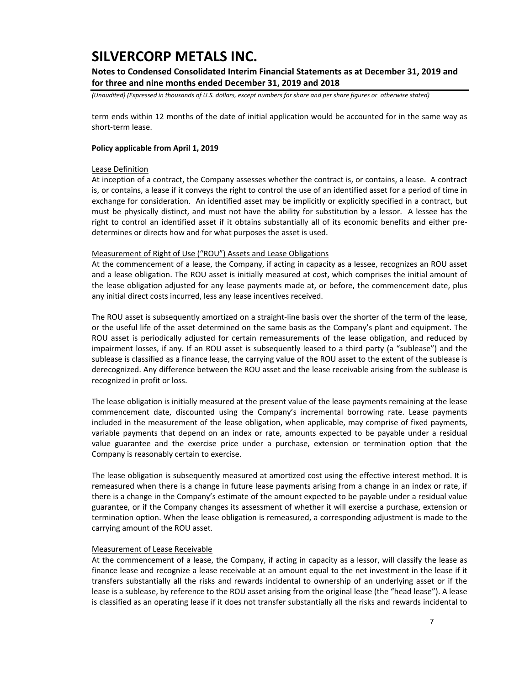### **Notes to Condensed Consolidated Interim Financial Statements as at December 31, 2019 and for three and nine months ended December 31, 2019 and 2018**

*(Unaudited) (Expressed in thousands of U.S. dollars, except numbers for share and per share figures or otherwise stated)*

term ends within 12 months of the date of initial application would be accounted for in the same way as short‐term lease.

#### **Policy applicable from April 1, 2019**

#### Lease Definition

At inception of a contract, the Company assesses whether the contract is, or contains, a lease. A contract is, or contains, a lease if it conveys the right to control the use of an identified asset for a period of time in exchange for consideration. An identified asset may be implicitly or explicitly specified in a contract, but must be physically distinct, and must not have the ability for substitution by a lessor. A lessee has the right to control an identified asset if it obtains substantially all of its economic benefits and either predetermines or directs how and for what purposes the asset is used.

#### Measurement of Right of Use ("ROU") Assets and Lease Obligations

At the commencement of a lease, the Company, if acting in capacity as a lessee, recognizes an ROU asset and a lease obligation. The ROU asset is initially measured at cost, which comprises the initial amount of the lease obligation adjusted for any lease payments made at, or before, the commencement date, plus any initial direct costs incurred, less any lease incentives received.

The ROU asset is subsequently amortized on a straight-line basis over the shorter of the term of the lease, or the useful life of the asset determined on the same basis as the Company's plant and equipment. The ROU asset is periodically adjusted for certain remeasurements of the lease obligation, and reduced by impairment losses, if any. If an ROU asset is subsequently leased to a third party (a "sublease") and the sublease is classified as a finance lease, the carrying value of the ROU asset to the extent of the sublease is derecognized. Any difference between the ROU asset and the lease receivable arising from the sublease is recognized in profit or loss.

The lease obligation is initially measured at the present value of the lease payments remaining at the lease commencement date, discounted using the Company's incremental borrowing rate. Lease payments included in the measurement of the lease obligation, when applicable, may comprise of fixed payments, variable payments that depend on an index or rate, amounts expected to be payable under a residual value guarantee and the exercise price under a purchase, extension or termination option that the Company is reasonably certain to exercise.

The lease obligation is subsequently measured at amortized cost using the effective interest method. It is remeasured when there is a change in future lease payments arising from a change in an index or rate, if there is a change in the Company's estimate of the amount expected to be payable under a residual value guarantee, or if the Company changes its assessment of whether it will exercise a purchase, extension or termination option. When the lease obligation is remeasured, a corresponding adjustment is made to the carrying amount of the ROU asset.

#### Measurement of Lease Receivable

At the commencement of a lease, the Company, if acting in capacity as a lessor, will classify the lease as finance lease and recognize a lease receivable at an amount equal to the net investment in the lease if it transfers substantially all the risks and rewards incidental to ownership of an underlying asset or if the lease is a sublease, by reference to the ROU asset arising from the original lease (the "head lease"). A lease is classified as an operating lease if it does not transfer substantially all the risks and rewards incidental to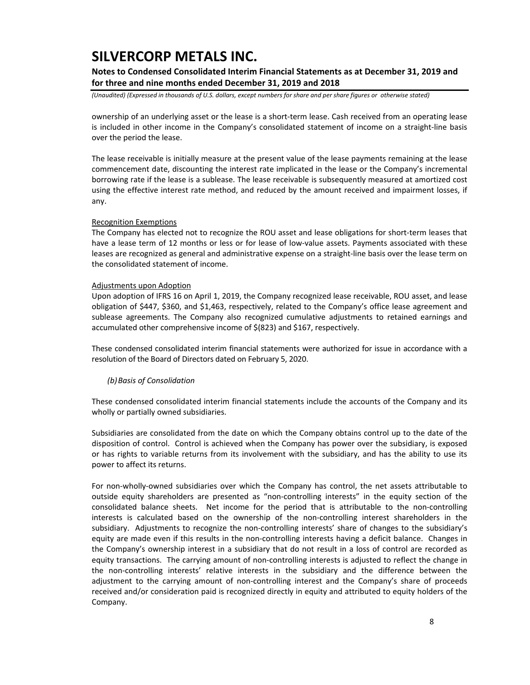### **Notes to Condensed Consolidated Interim Financial Statements as at December 31, 2019 and for three and nine months ended December 31, 2019 and 2018**

*(Unaudited) (Expressed in thousands of U.S. dollars, except numbers for share and per share figures or otherwise stated)*

ownership of an underlying asset or the lease is a short‐term lease. Cash received from an operating lease is included in other income in the Company's consolidated statement of income on a straight-line basis over the period the lease.

The lease receivable is initially measure at the present value of the lease payments remaining at the lease commencement date, discounting the interest rate implicated in the lease or the Company's incremental borrowing rate if the lease is a sublease. The lease receivable is subsequently measured at amortized cost using the effective interest rate method, and reduced by the amount received and impairment losses, if any.

### Recognition Exemptions

The Company has elected not to recognize the ROU asset and lease obligations for short‐term leases that have a lease term of 12 months or less or for lease of low-value assets. Payments associated with these leases are recognized as general and administrative expense on a straight‐line basis over the lease term on the consolidated statement of income.

#### Adjustments upon Adoption

Upon adoption of IFRS 16 on April 1, 2019, the Company recognized lease receivable, ROU asset, and lease obligation of \$447, \$360, and \$1,463, respectively, related to the Company's office lease agreement and sublease agreements. The Company also recognized cumulative adjustments to retained earnings and accumulated other comprehensive income of \$(823) and \$167, respectively.

These condensed consolidated interim financial statements were authorized for issue in accordance with a resolution of the Board of Directors dated on February 5, 2020.

### *(b)Basis of Consolidation*

These condensed consolidated interim financial statements include the accounts of the Company and its wholly or partially owned subsidiaries.

Subsidiaries are consolidated from the date on which the Company obtains control up to the date of the disposition of control. Control is achieved when the Company has power over the subsidiary, is exposed or has rights to variable returns from its involvement with the subsidiary, and has the ability to use its power to affect its returns.

For non-wholly-owned subsidiaries over which the Company has control, the net assets attributable to outside equity shareholders are presented as "non‐controlling interests" in the equity section of the consolidated balance sheets. Net income for the period that is attributable to the non-controlling interests is calculated based on the ownership of the non-controlling interest shareholders in the subsidiary. Adjustments to recognize the non-controlling interests' share of changes to the subsidiary's equity are made even if this results in the non-controlling interests having a deficit balance. Changes in the Company's ownership interest in a subsidiary that do not result in a loss of control are recorded as equity transactions. The carrying amount of non‐controlling interests is adjusted to reflect the change in the non‐controlling interests' relative interests in the subsidiary and the difference between the adjustment to the carrying amount of non-controlling interest and the Company's share of proceeds received and/or consideration paid is recognized directly in equity and attributed to equity holders of the Company.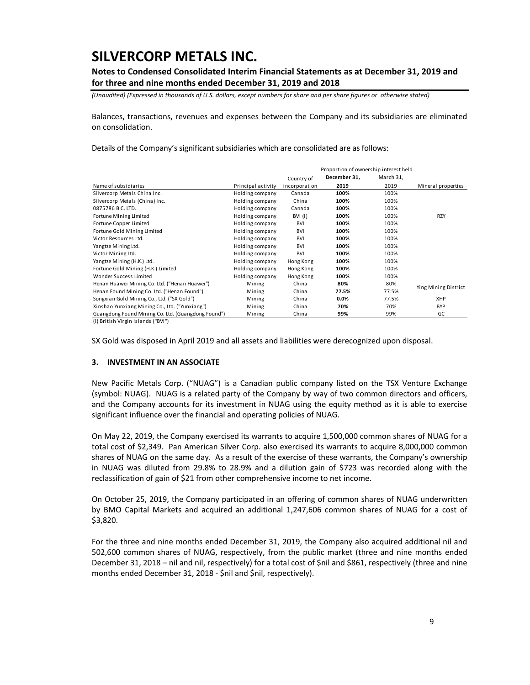### **Notes to Condensed Consolidated Interim Financial Statements as at December 31, 2019 and for three and nine months ended December 31, 2019 and 2018**

*(Unaudited) (Expressed in thousands of U.S. dollars, except numbers for share and per share figures or otherwise stated)*

Balances, transactions, revenues and expenses between the Company and its subsidiaries are eliminated on consolidation.

Details of the Company's significant subsidiaries which are consolidated are as follows:

|                                                    |                    |               | Proportion of ownership interest held |           |                      |  |  |  |
|----------------------------------------------------|--------------------|---------------|---------------------------------------|-----------|----------------------|--|--|--|
|                                                    |                    | Country of    | December 31,                          | March 31, |                      |  |  |  |
| Name of subsidiaries                               | Principal activity | incorporation | 2019                                  | 2019      | Mineral properties   |  |  |  |
| Silvercorp Metals China Inc.                       | Holding company    | Canada        | 100%                                  | 100%      |                      |  |  |  |
| Silvercorp Metals (China) Inc.                     | Holding company    | China         | 100%                                  | 100%      |                      |  |  |  |
| 0875786 B.C. LTD.                                  | Holding company    | Canada        | 100%                                  | 100%      |                      |  |  |  |
| Fortune Mining Limited                             | Holding company    | BVI (i)       | 100%                                  | 100%      | <b>RZY</b>           |  |  |  |
| Fortune Copper Limited                             | Holding company    | <b>BVI</b>    | 100%                                  | 100%      |                      |  |  |  |
| Fortune Gold Mining Limited                        | Holding company    | BVI           | 100%                                  | 100%      |                      |  |  |  |
| Victor Resources Ltd.                              | Holding company    | <b>BVI</b>    | 100%                                  | 100%      |                      |  |  |  |
| Yangtze Mining Ltd.                                | Holding company    | <b>BVI</b>    | 100%                                  | 100%      |                      |  |  |  |
| Victor Mining Ltd.                                 | Holding company    | <b>BVI</b>    | 100%                                  | 100%      |                      |  |  |  |
| Yangtze Mining (H.K.) Ltd.                         | Holding company    | Hong Kong     | 100%                                  | 100%      |                      |  |  |  |
| Fortune Gold Mining (H.K.) Limited                 | Holding company    | Hong Kong     | 100%                                  | 100%      |                      |  |  |  |
| Wonder Success Limited                             | Holding company    | Hong Kong     | 100%                                  | 100%      |                      |  |  |  |
| Henan Huawei Mining Co. Ltd. ("Henan Huawei")      | Mining             | China         | 80%                                   | 80%       | Ying Mining District |  |  |  |
| Henan Found Mining Co. Ltd. ("Henan Found")        | Mining             | China         | 77.5%                                 | 77.5%     |                      |  |  |  |
| Songxian Gold Mining Co., Ltd. ("SX Gold")         | Mining             | China         | 0.0%                                  | 77.5%     | XHP                  |  |  |  |
| Xinshao Yunxiang Mining Co., Ltd. ("Yunxiang")     | Mining             | China         | 70%                                   | 70%       | <b>BYP</b>           |  |  |  |
| Guangdong Found Mining Co. Ltd. (Guangdong Found") | Mining             | China         | 99%                                   | 99%       | GC                   |  |  |  |

(i ) British Virgin Islands ("BVI")

SX Gold was disposed in April 2019 and all assets and liabilities were derecognized upon disposal.

### **3. INVESTMENT IN AN ASSOCIATE**

New Pacific Metals Corp. ("NUAG") is a Canadian public company listed on the TSX Venture Exchange (symbol: NUAG). NUAG is a related party of the Company by way of two common directors and officers, and the Company accounts for its investment in NUAG using the equity method as it is able to exercise significant influence over the financial and operating policies of NUAG.

On May 22, 2019, the Company exercised its warrants to acquire 1,500,000 common shares of NUAG for a total cost of \$2,349. Pan American Silver Corp. also exercised its warrants to acquire 8,000,000 common shares of NUAG on the same day. As a result of the exercise of these warrants, the Company's ownership in NUAG was diluted from 29.8% to 28.9% and a dilution gain of \$723 was recorded along with the reclassification of gain of \$21 from other comprehensive income to net income.

On October 25, 2019, the Company participated in an offering of common shares of NUAG underwritten by BMO Capital Markets and acquired an additional 1,247,606 common shares of NUAG for a cost of \$3,820.

For the three and nine months ended December 31, 2019, the Company also acquired additional nil and 502,600 common shares of NUAG, respectively, from the public market (three and nine months ended December 31, 2018 – nil and nil, respectively) for a total cost of \$nil and \$861, respectively (three and nine months ended December 31, 2018 ‐ \$nil and \$nil, respectively).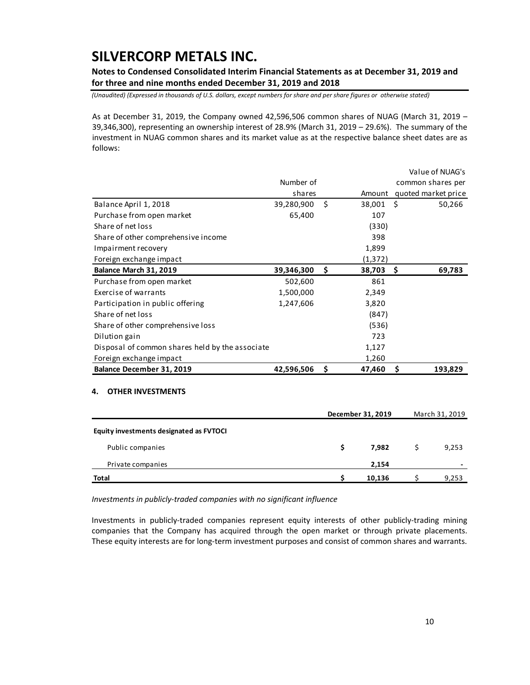**Notes to Condensed Consolidated Interim Financial Statements as at December 31, 2019 and for three and nine months ended December 31, 2019 and 2018** 

*(Unaudited) (Expressed in thousands of U.S. dollars, except numbers for share and per share figures or otherwise stated)*

As at December 31, 2019, the Company owned 42,596,506 common shares of NUAG (March 31, 2019 – 39,346,300), representing an ownership interest of 28.9% (March 31, 2019 – 29.6%). The summary of the investment in NUAG common shares and its market value as at the respective balance sheet dates are as follows:

|                                                 |            |     |          |      | Value of NUAG's     |
|-------------------------------------------------|------------|-----|----------|------|---------------------|
|                                                 | Number of  |     |          |      | common shares per   |
|                                                 | shares     |     | Amount   |      | quoted market price |
| Balance April 1, 2018                           | 39,280,900 | Ś   | 38,001   | - \$ | 50,266              |
| Purchase from open market                       | 65,400     |     | 107      |      |                     |
| Share of net loss                               |            |     | (330)    |      |                     |
| Share of other comprehensive income             |            |     | 398      |      |                     |
| Impairment recovery                             |            |     | 1,899    |      |                     |
| Foreign exchange impact                         |            |     | (1, 372) |      |                     |
| Balance March 31, 2019                          | 39,346,300 | \$. | 38,703   | - S  | 69,783              |
| Purchase from open market                       | 502,600    |     | 861      |      |                     |
| Exercise of warrants                            | 1,500,000  |     | 2,349    |      |                     |
| Participation in public offering                | 1,247,606  |     | 3,820    |      |                     |
| Share of net loss                               |            |     | (847)    |      |                     |
| Share of other comprehensive loss               |            |     | (536)    |      |                     |
| Dilution gain                                   |            |     | 723      |      |                     |
| Disposal of common shares held by the associate |            |     | 1,127    |      |                     |
| Foreign exchange impact                         |            |     | 1,260    |      |                     |
| Balance December 31, 2019                       | 42,596,506 | \$  | 47,460   | \$   | 193,829             |

### **4. OTHER INVESTMENTS**

|                                         |   | December 31, 2019 | March 31, 2019 |                          |  |  |
|-----------------------------------------|---|-------------------|----------------|--------------------------|--|--|
| Equity investments designated as FVTOCI |   |                   |                |                          |  |  |
| Public companies                        | S | 7.982             |                | 9,253                    |  |  |
| Private companies                       |   | 2,154             |                | $\overline{\phantom{a}}$ |  |  |
| <b>Total</b>                            |   | 10,136            |                | 9,253                    |  |  |

*Investments in publicly‐traded companies with no significant influence* 

Investments in publicly‐traded companies represent equity interests of other publicly‐trading mining companies that the Company has acquired through the open market or through private placements. These equity interests are for long‐term investment purposes and consist of common shares and warrants.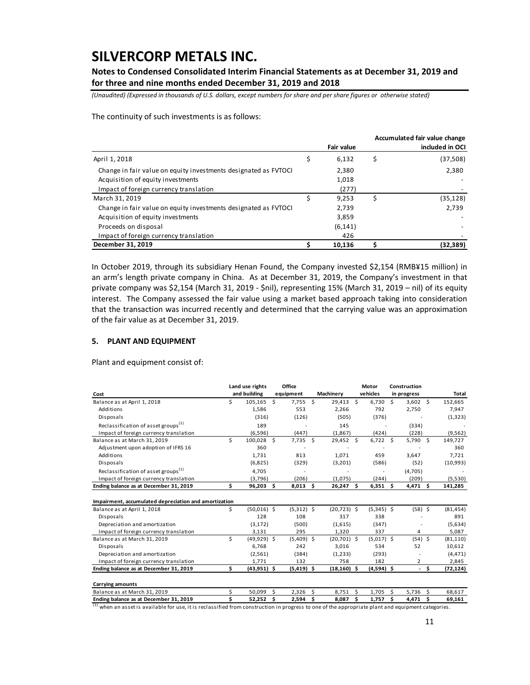**Notes to Condensed Consolidated Interim Financial Statements as at December 31, 2019 and for three and nine months ended December 31, 2019 and 2018** 

*(Unaudited) (Expressed in thousands of U.S. dollars, except numbers for share and per share figures or otherwise stated)*

The continuity of such investments is as follows:

|                                                                 |                   |    | Accumulated fair value change |
|-----------------------------------------------------------------|-------------------|----|-------------------------------|
|                                                                 | <b>Fair value</b> |    | included in OCI               |
| April 1, 2018                                                   | 6,132             | \$ | (37,508)                      |
| Change in fair value on equity investments designated as FVTOCI | 2,380             |    | 2,380                         |
| Acquisition of equity investments                               | 1,018             |    |                               |
| Impact of foreign currency translation                          | (277)             |    |                               |
| March 31, 2019                                                  | 9,253             | Ś  | (35, 128)                     |
| Change in fair value on equity investments designated as FVTOCI | 2.739             |    | 2,739                         |
| Acquisition of equity investments                               | 3,859             |    |                               |
| Proceeds on disposal                                            | (6, 141)          |    |                               |
| Impact of foreign currency translation                          | 426               |    |                               |
| December 31, 2019                                               | 10,136            |    | (32,389)                      |

In October 2019, through its subsidiary Henan Found, the Company invested \$2,154 (RMB¥15 million) in an arm's length private company in China. As at December 31, 2019, the Company's investment in that private company was \$2,154 (March 31, 2019 ‐ \$nil), representing 15% (March 31, 2019 – nil) of its equity interest. The Company assessed the fair value using a market based approach taking into consideration that the transaction was incurred recently and determined that the carrying value was an approximation of the fair value as at December 31, 2019.

### **5. PLANT AND EQUIPMENT**

Plant and equipment consist of:

|                                                                                      |    | Office<br>Land use rights |          |              |                      |                |    | Motor        |    | Construction |                      |           |
|--------------------------------------------------------------------------------------|----|---------------------------|----------|--------------|----------------------|----------------|----|--------------|----|--------------|----------------------|-----------|
| Cost                                                                                 |    | and building              |          | equipment    |                      | Machinery      |    | vehicles     |    | in progress  |                      | Total     |
| Balance as at April 1, 2018                                                          | Ś. | 105,165                   | Ś        | 7,755 \$     |                      | 29,413         | Ŝ. | 6.730        | Ś  | $3,602$ \$   |                      | 152,665   |
| Additions                                                                            |    | 1,586                     |          | 553          |                      | 2,266          |    | 792          |    | 2,750        |                      | 7,947     |
| Disposals                                                                            |    | (316)                     |          | (126)        |                      | (505)          |    | (376)        |    |              |                      | (1, 323)  |
| Reclassification of asset groups <sup>(1)</sup>                                      |    | 189                       |          |              |                      | 145            |    |              |    | (334)        |                      |           |
| Impact of foreign currency translation                                               |    | (6, 596)                  |          | (447)        |                      | (1,867)        |    | (424)        |    | (228)        |                      | (9, 562)  |
| Balance as at March 31, 2019                                                         | Ś  | 100,028 \$                |          | $7,735$ \$   |                      | 29,452 \$      |    | $6,722$ \$   |    | 5,790 \$     |                      | 149,727   |
| Adjustment upon adoption of IFRS 16                                                  |    | 360                       |          |              |                      |                |    |              |    |              |                      | 360       |
| Additions                                                                            |    | 1,731                     |          | 813          |                      | 1,071          |    | 459          |    | 3.647        |                      | 7,721     |
| Disposals                                                                            |    | (6,825)                   |          | (329)        |                      | (3,201)        |    | (586)        |    | (52)         |                      | (10,993)  |
| Reclassification of asset groups <sup>(1)</sup>                                      |    | 4,705                     |          |              |                      |                |    |              |    | (4,705)      |                      |           |
| Impact of foreign currency translation                                               |    | (3,796)                   |          | (206)        |                      | (1,075)        |    | (244)        |    | (209)        |                      | (5,530)   |
| Ending balance as at December 31, 2019                                               | \$ | 96,203                    | Ŝ.       | $8,013$ \$   |                      | 26,247 \$      |    | $6,351$ \$   |    | 4,471 \$     |                      | 141,285   |
| Impairment, accumulated depreciation and amortization<br>Balance as at April 1, 2018 | \$ | $(50,016)$ \$             |          | $(5,312)$ \$ |                      | $(20, 723)$ \$ |    | $(5,345)$ \$ |    | $(58)$ \$    |                      | (81, 454) |
| Disposals                                                                            |    | 128                       |          | 108          |                      | 317            |    | 338          |    |              |                      | 891       |
| Depreciation and amortization                                                        |    | (3, 172)                  |          | (500)        |                      | (1,615)        |    | (347)        |    |              |                      | (5,634)   |
| Impact of foreign currency translation                                               |    | 3,131                     |          | 295          |                      | 1,320          |    | 337          |    | 4            |                      | 5,087     |
| Balance as at March 31, 2019                                                         | Ś  | $(49,929)$ \$             |          | $(5,409)$ \$ |                      | $(20,701)$ \$  |    | $(5,017)$ \$ |    | $(54)$ \$    |                      | (81, 110) |
| Disposals                                                                            |    | 6,768                     |          | 242          |                      | 3,016          |    | 534          |    | 52           |                      | 10,612    |
| Depreciation and amortization                                                        |    | (2, 561)                  |          | (384)        |                      | (1,233)        |    | (293)        |    |              |                      | (4, 471)  |
| Impact of foreign currency translation                                               |    | 1,771                     |          | 132          |                      | 758            |    | 182          |    | 2            |                      | 2,845     |
| Ending balance as at December 31, 2019                                               | \$ | $(43,951)$ \$             |          | $(5,419)$ \$ |                      | $(18, 160)$ \$ |    | $(4,594)$ \$ |    |              | - \$                 | (72, 124) |
| <b>Carrying amounts</b>                                                              |    |                           |          |              |                      |                |    |              |    |              |                      |           |
| Balance as at March 31, 2019                                                         | \$ | 50,099                    | \$       | 2,326        | \$                   | 8,751          | \$ | 1,705        | \$ | 5,736        | -Ś                   | 68,617    |
| Ending halance as at December 31, 2019                                               | ¢  | 52252                     | <b>¢</b> | 2594         | $\ddot{\phantom{1}}$ | 8.087          | ¢  | 1757         | ¢  | 4471         | $\ddot{\phantom{1}}$ | 69 161    |

Ending balance as at December 31, 2019  $\begin{array}{l} \text{S} \\ \text{S} \\ \text{S} \end{array}$   $\begin{array}{l} \text{S} \\ \text{S} \\ \text{S} \end{array}$   $\begin{array}{l} \text{S} \\ \text{S} \\ \text{S} \end{array}$   $\begin{array}{l} \text{S} \\ \text{S} \\ \text{S} \end{array}$   $\begin{array}{l} \text{S} \\ \text{S} \\ \text{S} \end{array}$   $\begin{array}{l} \text{S} \\ \text{S} \\ \text$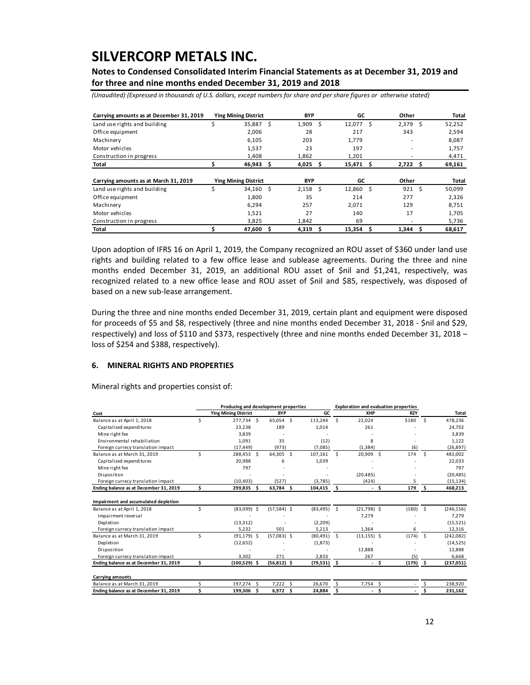**Notes to Condensed Consolidated Interim Financial Statements as at December 31, 2019 and for three and nine months ended December 31, 2019 and 2018** 

*(Unaudited) (Expressed in thousands of U.S. dollars, except numbers for share and per share figures or otherwise stated)*

| Carrying amounts as at December 31, 2019 |    | <b>Ying Mining District</b> |   | <b>BYP</b> |     | GC     |     | Other                    |     | Total  |
|------------------------------------------|----|-----------------------------|---|------------|-----|--------|-----|--------------------------|-----|--------|
| Land use rights and building             | \$ | 35,887                      | S | 1,909      | Ŝ.  | 12,077 | S   | 2,379                    | Ŝ   | 52,252 |
| Office equipment                         |    | 2.006                       |   | 28         |     | 217    |     | 343                      |     | 2,594  |
| Machinery                                |    | 6,105                       |   | 203        |     | 1,779  |     | $\overline{\phantom{a}}$ |     | 8,087  |
| Motor vehicles                           |    | 1,537                       |   | 23         |     | 197    |     |                          |     | 1,757  |
| Construction in progress                 |    | 1.408                       |   | 1.862      |     | 1.201  |     |                          |     | 4,471  |
| Total                                    |    | 46,943                      | S | 4,025      | Ŝ   | 15,471 | s.  | 2,722                    | - S | 69,161 |
|                                          |    |                             |   |            |     |        |     |                          |     |        |
| Carrying amounts as at March 31, 2019    |    | <b>Ying Mining District</b> |   | <b>BYP</b> |     | GC     |     | Other                    |     | Total  |
| Land use rights and building             | Ś  | 34.160                      | Ŝ | 2.158      | Ŝ   | 12.860 | Ŝ.  | 921                      | Ŝ.  | 50,099 |
| Office equipment                         |    | 1,800                       |   | 35         |     | 214    |     | 277                      |     | 2,326  |
| Machinery                                |    | 6,294                       |   | 257        |     | 2,071  |     | 129                      |     | 8,751  |
| Motor vehicles                           |    | 1,521                       |   | 27         |     | 140    |     | 17                       |     | 1,705  |
| Construction in progress                 |    | 3,825                       |   | 1,842      |     | 69     |     |                          |     | 5,736  |
| Total                                    |    | 47,600                      | Ś | 4,319      | \$. | 15,354 | \$. | 1,344                    | S   | 68,617 |

Upon adoption of IFRS 16 on April 1, 2019, the Company recognized an ROU asset of \$360 under land use rights and building related to a few office lease and sublease agreements. During the three and nine months ended December 31, 2019, an additional ROU asset of \$nil and \$1,241, respectively, was recognized related to a new office lease and ROU asset of \$nil and \$85, respectively, was disposed of based on a new sub‐lease arrangement.

During the three and nine months ended December 31, 2019, certain plant and equipment were disposed for proceeds of \$5 and \$8, respectively (three and nine months ended December 31, 2018 ‐ \$nil and \$29, respectively) and loss of \$110 and \$373, respectively (three and nine months ended December 31, 2018 – loss of \$254 and \$388, respectively).

#### **6. MINERAL RIGHTS AND PROPERTIES**

Mineral rights and properties consist of:

|                                        |    | Producing and development properties |     |                |                |      | <b>Exploration and evaluation properties</b> |      |            |    |            |
|----------------------------------------|----|--------------------------------------|-----|----------------|----------------|------|----------------------------------------------|------|------------|----|------------|
| Cost                                   |    | <b>Ying Mining District</b>          |     | <b>BYP</b>     | GC             |      | <b>XHP</b>                                   |      | <b>RZY</b> |    | Total      |
| Balance as at April 1, 2018            | Ś  | 277.734 \$                           |     | 65,054 \$      | 113,244        | Ŝ.   | 22,024                                       |      | \$180      | Ŝ. | 478,236    |
| Capitalized expenditures               |    | 23,238                               |     | 189            | 1.014          |      | 261                                          |      |            |    | 24,702     |
| Mine right fee                         |    | 3,839                                |     |                |                |      |                                              |      |            |    | 3,839      |
| Environmental rehabiliation            |    | 1,091                                |     | 35             | (12)           |      | 8                                            |      |            |    | 1,122      |
| Foreign currecy translation impact     |    | (17, 449)                            |     | (973)          | (7,085)        |      | (1, 384)                                     |      | (6)        |    | (26, 897)  |
| Balance as at March 31, 2019           | Ś  | 288,453                              | Ŝ.  | 64,305 \$      | 107,161        | Ŝ    | 20,909                                       | Ŝ.   | 174        | Ŝ. | 481,002    |
| Capitalized expenditures               |    | 20,988                               |     | 6              | 1,039          |      |                                              |      |            |    | 22,033     |
| Mine right fee                         |    | 797                                  |     |                |                |      |                                              |      |            |    | 797        |
| Disposition                            |    |                                      |     |                |                |      | (20, 485)                                    |      |            |    | (20, 485)  |
| Foreign currecy translation impact     |    | (10.403)                             |     | (527)          | (3,785)        |      | (424)                                        |      | 5          |    | (15, 134)  |
| Ending balance as at December 31, 2019 | Ś. | 299,835                              | Ŝ.  | 63,784 \$      | 104,415        | \$.  |                                              | Ŝ.   | 179        | Ŝ. | 468,213    |
| Impairment and accumulated depletion   |    |                                      |     |                |                |      |                                              |      |            |    |            |
| Balance as at April 1, 2018            | \$ | $(83,099)$ \$                        |     | $(57,584)$ \$  | (83, 495)      | - \$ | $(21,798)$ \$                                |      | (180)      | Ŝ. | (246, 156) |
| Impairment reversal                    |    |                                      |     |                |                |      | 7,279                                        |      |            |    | 7,279      |
| Depletion                              |    | (13, 312)                            |     |                | (2,209)        |      |                                              |      |            |    | (15, 521)  |
| Foreign currecy translation impact     |    | 5,232                                |     | 501            | 5,213          |      | 1,364                                        |      | 6          |    | 12,316     |
| Balance as at March 31, 2019           | Ś  | $(91, 179)$ \$                       |     | $(57,083)$ \$  | $(80, 491)$ \$ |      | $(13, 155)$ \$                               |      | (174)      | Ŝ. | (242, 082) |
| Depletion                              |    | (12, 652)                            |     |                | (1,873)        |      |                                              |      |            |    | (14, 525)  |
| Disposition                            |    |                                      |     |                |                |      | 12,888                                       |      |            |    | 12,888     |
| Foreign currecy translation impact     |    | 3,302                                |     | 271            | 2,833          |      | 267                                          |      | (5)        |    | 6,668      |
| Ending balance as at December 31, 2019 | Ś  | (100, 529)                           | Ŝ.  | $(56, 812)$ \$ | (79, 531)      | - \$ |                                              | - \$ | (179)      | \$ | (237, 051) |
| <b>Carrying amounts</b>                |    |                                      |     |                |                |      |                                              |      |            |    |            |
| Balance as at March 31, 2019           |    | 197,274                              | S   | $7,222$ \$     | 26,670         |      | 7,754 \$                                     |      |            |    | 238,920    |
| Ending balance as at December 31, 2019 | ¢  | 199,306                              | \$. | $6,972$ \$     | 24,884         | \$   |                                              | Ś    |            |    | 231,162    |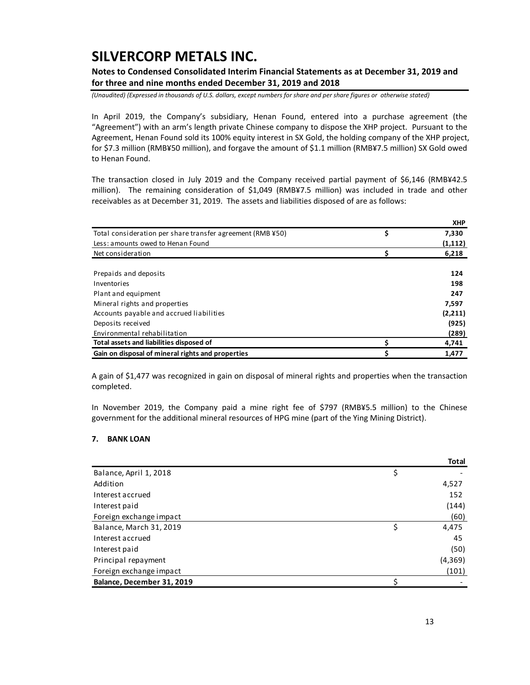**Notes to Condensed Consolidated Interim Financial Statements as at December 31, 2019 and for three and nine months ended December 31, 2019 and 2018** 

*(Unaudited) (Expressed in thousands of U.S. dollars, except numbers for share and per share figures or otherwise stated)*

In April 2019, the Company's subsidiary, Henan Found, entered into a purchase agreement (the "Agreement") with an arm's length private Chinese company to dispose the XHP project. Pursuant to the Agreement, Henan Found sold its 100% equity interest in SX Gold, the holding company of the XHP project, for \$7.3 million (RMB¥50 million), and forgave the amount of \$1.1 million (RMB¥7.5 million) SX Gold owed to Henan Found.

The transaction closed in July 2019 and the Company received partial payment of \$6,146 (RMB¥42.5 million). The remaining consideration of \$1,049 (RMB¥7.5 million) was included in trade and other receivables as at December 31, 2019. The assets and liabilities disposed of are as follows:

|                                                            |    | XHP.    |
|------------------------------------------------------------|----|---------|
| Total consideration per share transfer agreement (RMB ¥50) | \$ | 7,330   |
| Less: amounts owed to Henan Found                          |    | (1,112) |
| Net consideration                                          | Ś  | 6,218   |
|                                                            |    |         |
| Prepaids and deposits                                      |    | 124     |
| Inventories                                                |    | 198     |
| Plant and equipment                                        |    | 247     |
| Mineral rights and properties                              |    | 7,597   |
| Accounts payable and accrued liabilities                   |    | (2,211) |
| Deposits received                                          |    | (925)   |
| Environmental rehabilitation                               |    | (289)   |
| Total assets and liabilities disposed of                   |    | 4,741   |
| Gain on disposal of mineral rights and properties          | Ŝ  | 1.477   |

A gain of \$1,477 was recognized in gain on disposal of mineral rights and properties when the transaction completed.

In November 2019, the Company paid a mine right fee of \$797 (RMB¥5.5 million) to the Chinese government for the additional mineral resources of HPG mine (part of the Ying Mining District).

#### **7. BANK LOAN**

|                            | <b>Total</b> |
|----------------------------|--------------|
| Balance, April 1, 2018     |              |
| Addition                   | 4,527        |
| Interest accrued           | 152          |
| Interest paid              | (144)        |
| Foreign exchange impact    | (60)         |
| Balance, March 31, 2019    | \$<br>4,475  |
| Interest accrued           | 45           |
| Interest paid              | (50)         |
| Principal repayment        | (4,369)      |
| Foreign exchange impact    | (101)        |
| Balance, December 31, 2019 |              |

**X**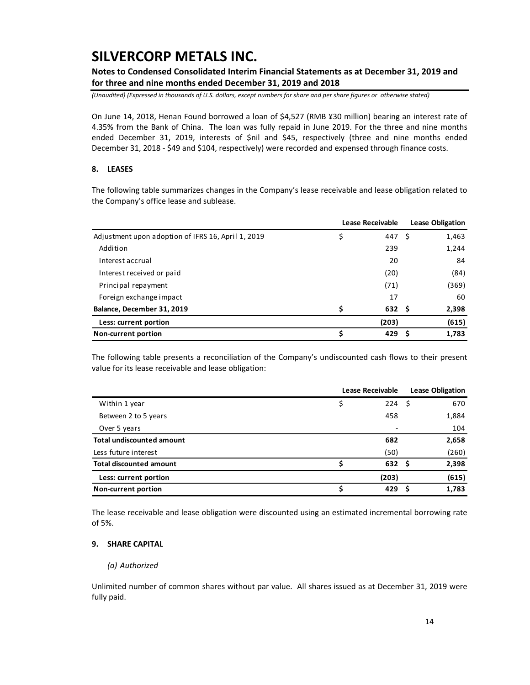### **Notes to Condensed Consolidated Interim Financial Statements as at December 31, 2019 and for three and nine months ended December 31, 2019 and 2018**

*(Unaudited) (Expressed in thousands of U.S. dollars, except numbers for share and per share figures or otherwise stated)*

On June 14, 2018, Henan Found borrowed a loan of \$4,527 (RMB ¥30 million) bearing an interest rate of 4.35% from the Bank of China. The loan was fully repaid in June 2019. For the three and nine months ended December 31, 2019, interests of \$nil and \$45, respectively (three and nine months ended December 31, 2018 ‐ \$49 and \$104, respectively) were recorded and expensed through finance costs.

### **8. LEASES**

The following table summarizes changes in the Company's lease receivable and lease obligation related to the Company's office lease and sublease.

|                                                    | <b>Lease Receivable</b> |        |  | <b>Lease Obligation</b> |
|----------------------------------------------------|-------------------------|--------|--|-------------------------|
| Adjustment upon adoption of IFRS 16, April 1, 2019 | \$                      | 447 \$ |  | 1,463                   |
| Addition                                           |                         | 239    |  | 1,244                   |
| Interest accrual                                   |                         | 20     |  | 84                      |
| Interest received or paid                          |                         | (20)   |  | (84)                    |
| Principal repayment                                |                         | (71)   |  | (369)                   |
| Foreign exchange impact                            |                         | 17     |  | 60                      |
| Balance, December 31, 2019                         | Ś                       | 632S   |  | 2,398                   |
| Less: current portion                              |                         | (203)  |  | (615)                   |
| Non-current portion                                | Ś                       | 429    |  | 1,783                   |

The following table presents a reconciliation of the Company's undiscounted cash flows to their present value for its lease receivable and lease obligation:

|                                  | <b>Lease Receivable</b> |      |       |  |
|----------------------------------|-------------------------|------|-------|--|
| Within 1 year                    | \$<br>224               | - \$ | 670   |  |
| Between 2 to 5 years             | 458                     |      | 1,884 |  |
| Over 5 years                     |                         |      | 104   |  |
| <b>Total undiscounted amount</b> | 682                     |      | 2,658 |  |
| Less future interest             | (50)                    |      | (260) |  |
| <b>Total discounted amount</b>   | 632S                    |      | 2,398 |  |
| Less: current portion            | (203)                   |      | (615) |  |
| Non-current portion              | 429                     |      | 1,783 |  |

The lease receivable and lease obligation were discounted using an estimated incremental borrowing rate of 5%.

### **9. SHARE CAPITAL**

#### *(a) Authorized*

Unlimited number of common shares without par value. All shares issued as at December 31, 2019 were fully paid.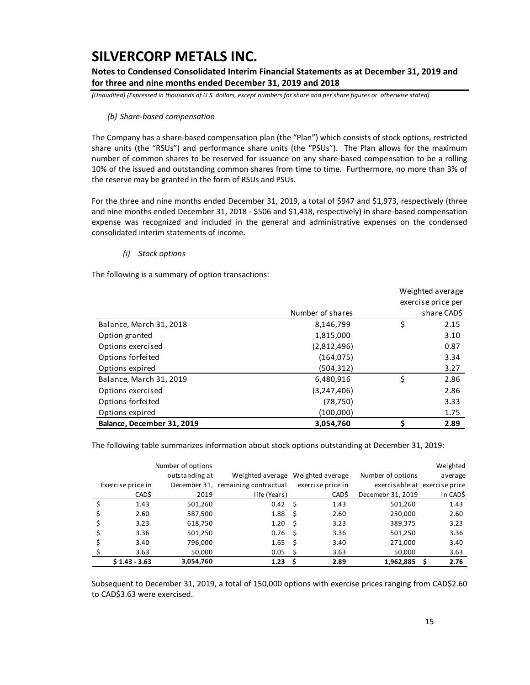**Notes to Condensed Consolidated Interim Financial Statements as at December 31, 2019 and for three and nine months ended December 31, 2019 and 2018** 

*(Unaudited) (Expressed in thousands of U.S. dollars, except numbers for share and per share figures or otherwise stated)*

#### *(b) Share‐based compensation*

The Company has a share‐based compensation plan (the "Plan") which consists of stock options, restricted share units (the "RSUs") and performance share units (the "PSUs"). The Plan allows for the maximum number of common shares to be reserved for issuance on any share‐based compensation to be a rolling 10% of the issued and outstanding common shares from time to time. Furthermore, no more than 3% of the reserve may be granted in the form of RSUs and PSUs.

For the three and nine months ended December 31, 2019, a total of \$947 and \$1,973, respectively (three and nine months ended December 31, 2018 ‐ \$506 and \$1,418, respectively) in share‐based compensation expense was recognized and included in the general and administrative expenses on the condensed consolidated interim statements of income.

### *(i) Stock options*

The following is a summary of option transactions:

|                            |                  | Weighted average |                    |  |
|----------------------------|------------------|------------------|--------------------|--|
|                            |                  |                  | exercise price per |  |
|                            | Number of shares |                  | share CAD\$        |  |
| Balance, March 31, 2018    | 8,146,799        | \$               | 2.15               |  |
| Option granted             | 1,815,000        |                  | 3.10               |  |
| Options exercised          | (2,812,496)      |                  | 0.87               |  |
| Options forfeited          | (164, 075)       |                  | 3.34               |  |
| Options expired            | (504, 312)       |                  | 3.27               |  |
| Balance, March 31, 2019    | 6,480,916        | \$               | 2.86               |  |
| Options exercised          | (3,247,406)      |                  | 2.86               |  |
| Options forfeited          | (78, 750)        |                  | 3.33               |  |
| Options expired            | (100,000)        |                  | 1.75               |  |
| Balance, December 31, 2019 | 3,054,760        | Ś                | 2.89               |  |

The following table summarizes information about stock options outstanding at December 31, 2019:

|                   | Number of options |                                    |    |                   |                   | Weighted                      |
|-------------------|-------------------|------------------------------------|----|-------------------|-------------------|-------------------------------|
|                   | outstanding at    | Weighted average                   |    | Weighted average  | Number of options | average                       |
| Exercise price in |                   | December 31, remaining contractual |    | exercise price in |                   | exercisable at exercise price |
| CAD\$             | 2019              | life (Years)                       |    | CAD\$             | Decemebr 31, 2019 | in CAD\$                      |
| 1.43              | 501,260           | $0.42 \quad$ \$                    |    | 1.43              | 501,260           | 1.43                          |
| 2.60              | 587,500           | 1.88                               | Ŝ  | 2.60              | 250,000           | 2.60                          |
| 3.23              | 618,750           | 1.20                               | Ŝ  | 3.23              | 389,375           | 3.23                          |
| 3.36              | 501,250           | 0.76                               | Ŝ  | 3.36              | 501,250           | 3.36                          |
| 3.40              | 796,000           | 1.65                               | Ŝ  | 3.40              | 271,000           | 3.40                          |
| 3.63              | 50,000            | 0.05                               | \$ | 3.63              | 50,000            | 3.63                          |
| $S$ 1.43 - 3.63   | 3,054,760         | 1.23                               | S  | 2.89              | 1,962,885         | 2.76                          |

Subsequent to December 31, 2019, a total of 150,000 options with exercise prices ranging from CAD\$2.60 to CAD\$3.63 were exercised.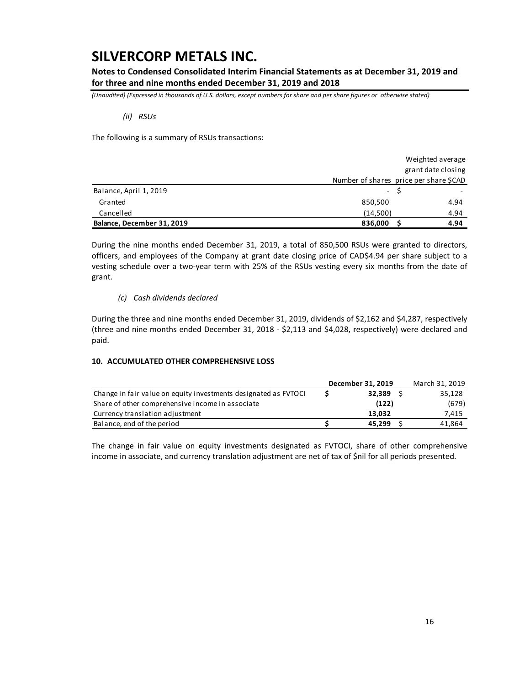**Notes to Condensed Consolidated Interim Financial Statements as at December 31, 2019 and for three and nine months ended December 31, 2019 and 2018** 

*(Unaudited) (Expressed in thousands of U.S. dollars, except numbers for share and per share figures or otherwise stated)*

*(ii) RSUs* 

The following is a summary of RSUs transactions:

|                            |                                        |      | Weighted average   |
|----------------------------|----------------------------------------|------|--------------------|
|                            |                                        |      | grant date closing |
|                            | Number of shares price per share \$CAD |      |                    |
| Balance, April 1, 2019     |                                        | - \$ |                    |
| Granted                    | 850,500                                |      | 4.94               |
| Cancelled                  | (14,500)                               |      | 4.94               |
| Balance, December 31, 2019 | 836,000                                |      | 4.94               |

During the nine months ended December 31, 2019, a total of 850,500 RSUs were granted to directors, officers, and employees of the Company at grant date closing price of CAD\$4.94 per share subject to a vesting schedule over a two-year term with 25% of the RSUs vesting every six months from the date of grant.

### *(c) Cash dividends declared*

During the three and nine months ended December 31, 2019, dividends of \$2,162 and \$4,287, respectively (three and nine months ended December 31, 2018 ‐ \$2,113 and \$4,028, respectively) were declared and paid.

### **10. ACCUMULATED OTHER COMPREHENSIVE LOSS**

|                                                                 | December 31, 2019 | March 31, 2019 |
|-----------------------------------------------------------------|-------------------|----------------|
| Change in fair value on equity investments designated as FVTOCI | 32.389            | 35,128         |
| Share of other comprehensive income in associate                | (122)             | (679)          |
| Currency translation adjustment                                 | 13.032            | 7,415          |
| Balance, end of the period                                      | 45.299            | 41,864         |

The change in fair value on equity investments designated as FVTOCI, share of other comprehensive income in associate, and currency translation adjustment are net of tax of \$nil for all periods presented.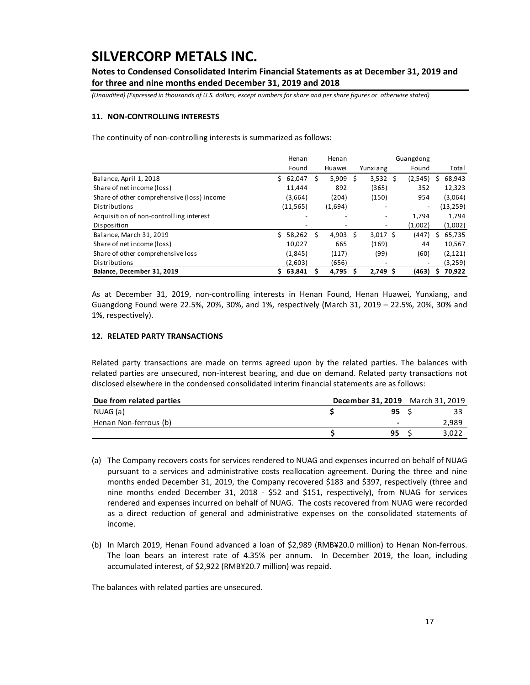**Notes to Condensed Consolidated Interim Financial Statements as at December 31, 2019 and for three and nine months ended December 31, 2019 and 2018** 

*(Unaudited) (Expressed in thousands of U.S. dollars, except numbers for share and per share figures or otherwise stated)*

### **11. NON‐CONTROLLING INTERESTS**

The continuity of non-controlling interests is summarized as follows:

|                                            | Henan        |    | Henan   | Guangdong |            |                              |    |          |
|--------------------------------------------|--------------|----|---------|-----------|------------|------------------------------|----|----------|
|                                            | Found        |    | Huawei  |           | Yunxiang   | Found                        |    | Total    |
| Balance, April 1, 2018                     | 62,047<br>Ś. | s  | 5,909   | S         | 3,532      | (2,545)<br>S                 |    | 68.943   |
| Share of net income (loss)                 | 11.444       |    | 892     |           | (365)      | 352                          |    | 12,323   |
| Share of other comprehensive (loss) income | (3,664)      |    | (204)   |           | (150)      | 954                          |    | (3,064)  |
| Distributions                              | (11, 565)    |    | (1,694) |           | ٠          | $\qquad \qquad \blacksquare$ |    | (13,259) |
| Acquisition of non-controlling interest    |              |    |         |           |            | 1.794                        |    | 1,794    |
| Disposition                                |              |    |         |           |            | (1,002)                      |    | (1,002)  |
| Balance, March 31, 2019                    | Ś.<br>58,262 | .s | 4.903   | S         | $3,017$ \$ | (447)                        | S. | 65,735   |
| Share of net income (loss)                 | 10,027       |    | 665     |           | (169)      | 44                           |    | 10,567   |
| Share of other comprehensive loss          | (1,845)      |    | (117)   |           | (99)       | (60)                         |    | (2, 121) |
| Distributions                              | (2,603)      |    | (656)   |           |            |                              |    | (3,259)  |
| Balance, December 31, 2019                 | 63.841<br>Ś. |    | 4.795   |           | 2.749S     | (463)                        | s  | 70.922   |

As at December 31, 2019, non‐controlling interests in Henan Found, Henan Huawei, Yunxiang, and Guangdong Found were 22.5%, 20%, 30%, and 1%, respectively (March 31, 2019 – 22.5%, 20%, 30% and 1%, respectively).

### **12. RELATED PARTY TRANSACTIONS**

Related party transactions are made on terms agreed upon by the related parties. The balances with related parties are unsecured, non-interest bearing, and due on demand. Related party transactions not disclosed elsewhere in the condensed consolidated interim financial statements are as follows:

| Due from related parties |    | December 31, 2019 March 31, 2019 |
|--------------------------|----|----------------------------------|
| NUAG (a)                 | 95 |                                  |
| Henan Non-ferrous (b)    | -  | 2,989                            |
|                          | 95 | 3.022                            |

- (a) The Company recovers costs for services rendered to NUAG and expenses incurred on behalf of NUAG pursuant to a services and administrative costs reallocation agreement. During the three and nine months ended December 31, 2019, the Company recovered \$183 and \$397, respectively (three and nine months ended December 31, 2018 - \$52 and \$151, respectively), from NUAG for services rendered and expenses incurred on behalf of NUAG. The costs recovered from NUAG were recorded as a direct reduction of general and administrative expenses on the consolidated statements of income.
- (b) In March 2019, Henan Found advanced a loan of \$2,989 (RMB¥20.0 million) to Henan Non‐ferrous. The loan bears an interest rate of 4.35% per annum. In December 2019, the loan, including accumulated interest, of \$2,922 (RMB¥20.7 million) was repaid.

The balances with related parties are unsecured.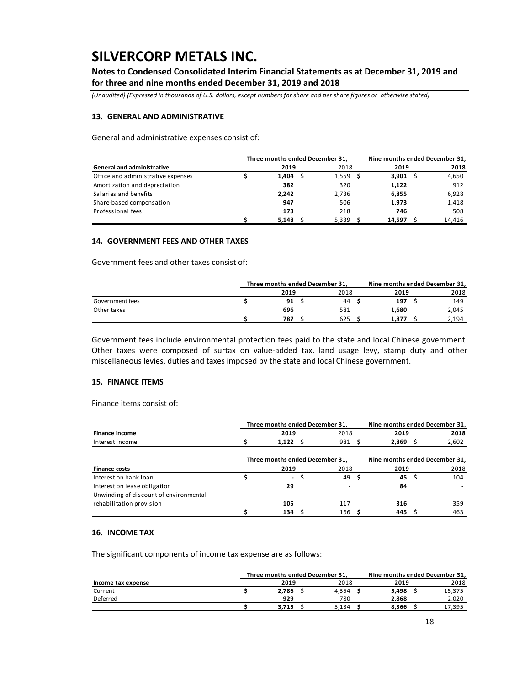**Notes to Condensed Consolidated Interim Financial Statements as at December 31, 2019 and for three and nine months ended December 31, 2019 and 2018** 

*(Unaudited) (Expressed in thousands of U.S. dollars, except numbers for share and per share figures or otherwise stated)*

#### **13. GENERAL AND ADMINISTRATIVE**

General and administrative expenses consist of:

|                                    | Three months ended December 31, | Nine months ended December 31, |        |        |
|------------------------------------|---------------------------------|--------------------------------|--------|--------|
| <b>General and administrative</b>  | 2019                            | 2018                           | 2019   | 2018   |
| Office and administrative expenses | 1.404                           | 1,559                          | 3,901  | 4,650  |
| Amortization and depreciation      | 382                             | 320                            | 1,122  | 912    |
| Salaries and benefits              | 2,242                           | 2,736                          | 6,855  | 6,928  |
| Share-based compensation           | 947                             | 506                            | 1,973  | 1,418  |
| Professional fees                  | 173                             | 218                            | 746    | 508    |
|                                    | 5.148                           | 5,339                          | 14.597 | 14,416 |

#### **14. GOVERNMENT FEES AND OTHER TAXES**

Government fees and other taxes consist of:

|                 | Three months ended December 31, |     |      | Nine months ended December 31, |  |       |  |
|-----------------|---------------------------------|-----|------|--------------------------------|--|-------|--|
|                 | 2019                            |     | 2018 | 2019                           |  | 2018  |  |
| Government fees | 91                              |     | 44   | 197                            |  | 149   |  |
| Other taxes     | 696                             | 581 |      | 1.680                          |  | 2.045 |  |
|                 | 787                             | 625 |      | 1.877                          |  | 2,194 |  |

Government fees include environmental protection fees paid to the state and local Chinese government. Other taxes were composed of surtax on value-added tax, land usage levy, stamp duty and other miscellaneous levies, duties and taxes imposed by the state and local Chinese government.

#### **15. FINANCE ITEMS**

Finance items consist of:

|                                        | Three months ended December 31, |  | Nine months ended December 31, |     |       |  |                                |  |
|----------------------------------------|---------------------------------|--|--------------------------------|-----|-------|--|--------------------------------|--|
| <b>Finance income</b>                  | 2019                            |  | 2018                           |     | 2019  |  | 2018                           |  |
| Interest income                        | $1,122$ \$                      |  | 981                            |     | 2,869 |  | 2,602                          |  |
|                                        | Three months ended December 31, |  |                                |     |       |  | Nine months ended December 31, |  |
| <b>Finance costs</b>                   | 2019                            |  | 2018                           |     | 2019  |  | 2018                           |  |
| Interest on bank loan                  | $\sim$                          |  | 49                             | - S | 45 S  |  | 104                            |  |
| Interest on lease obligation           | 29                              |  |                                |     | 84    |  |                                |  |
| Unwinding of discount of environmental |                                 |  |                                |     |       |  |                                |  |
| rehabilitation provision               | 105                             |  | 117                            |     | 316   |  | 359                            |  |
|                                        | 134                             |  | 166                            |     | 445   |  | 463                            |  |

### **16. INCOME TAX**

The significant components of income tax expense are as follows:

|                    | Three months ended December 31. |       |  | Nine months ended December 31, |  |        |
|--------------------|---------------------------------|-------|--|--------------------------------|--|--------|
| Income tax expense | 2019                            | 2018  |  | 2019                           |  | 2018   |
| Current            | 2.786                           | 4.354 |  | 5.498                          |  | 15,375 |
| Deferred           | 929                             | 780   |  | 2.868                          |  | 2,020  |
|                    | 3.715                           | 5.134 |  | 8.366                          |  | 17,395 |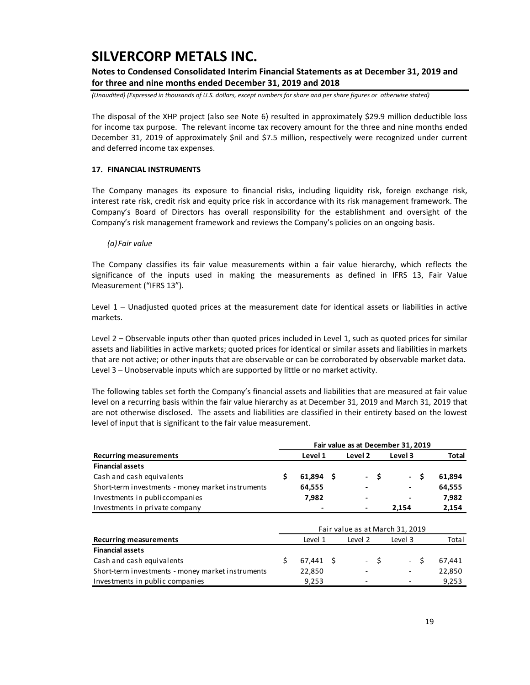### **Notes to Condensed Consolidated Interim Financial Statements as at December 31, 2019 and for three and nine months ended December 31, 2019 and 2018**

*(Unaudited) (Expressed in thousands of U.S. dollars, except numbers for share and per share figures or otherwise stated)*

The disposal of the XHP project (also see Note 6) resulted in approximately \$29.9 million deductible loss for income tax purpose. The relevant income tax recovery amount for the three and nine months ended December 31, 2019 of approximately \$nil and \$7.5 million, respectively were recognized under current and deferred income tax expenses.

### **17. FINANCIAL INSTRUMENTS**

The Company manages its exposure to financial risks, including liquidity risk, foreign exchange risk, interest rate risk, credit risk and equity price risk in accordance with its risk management framework. The Company's Board of Directors has overall responsibility for the establishment and oversight of the Company's risk management framework and reviews the Company's policies on an ongoing basis.

#### *(a)Fair value*

The Company classifies its fair value measurements within a fair value hierarchy, which reflects the significance of the inputs used in making the measurements as defined in IFRS 13, Fair Value Measurement ("IFRS 13").

Level  $1$  – Unadjusted quoted prices at the measurement date for identical assets or liabilities in active markets.

Level 2 – Observable inputs other than quoted prices included in Level 1, such as quoted prices for similar assets and liabilities in active markets; quoted prices for identical or similar assets and liabilities in markets that are not active; or other inputs that are observable or can be corroborated by observable market data. Level 3 – Unobservable inputs which are supported by little or no market activity.

The following tables set forth the Company's financial assets and liabilities that are measured at fair value level on a recurring basis within the fair value hierarchy as at December 31, 2019 and March 31, 2019 that are not otherwise disclosed. The assets and liabilities are classified in their entirety based on the lowest level of input that is significant to the fair value measurement.

|                                                   |                   |         | Fair value as at December 31, 2019 |        |
|---------------------------------------------------|-------------------|---------|------------------------------------|--------|
| <b>Recurring measurements</b>                     | Level 1           | Level 2 | Level 3                            | Total  |
| <b>Financial assets</b>                           |                   |         |                                    |        |
| Cash and cash equivalents                         | \$<br>$61,894$ \$ | - \$    | - \$                               | 61,894 |
| Short-term investments - money market instruments | 64,555            |         |                                    | 64,555 |
| Investments in publiccompanies                    | 7,982             |         |                                    | 7,982  |
| Investments in private company                    |                   |         | 2,154                              | 2,154  |
|                                                   |                   |         |                                    |        |
|                                                   |                   |         | Fair value as at March 31, 2019    |        |
| <b>Recurring measurements</b>                     | Level 1           | Level 2 | Level 3                            | Total  |
| <b>Financial assets</b>                           |                   |         |                                    |        |
| Cash and cash equivalents                         | \$<br>$67,441$ \$ | - \$    | - \$                               | 67,441 |
| Short-term investments - money market instruments | 22,850            |         |                                    | 22,850 |
| Investments in public companies                   | 9,253             |         |                                    | 9,253  |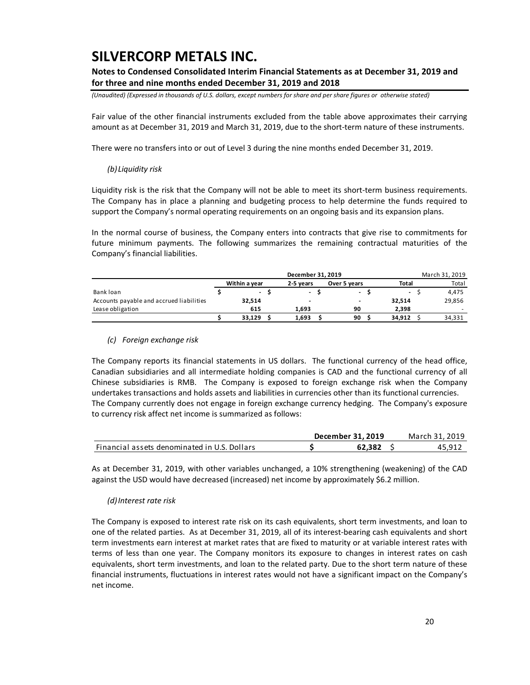### **Notes to Condensed Consolidated Interim Financial Statements as at December 31, 2019 and for three and nine months ended December 31, 2019 and 2018**

*(Unaudited) (Expressed in thousands of U.S. dollars, except numbers for share and per share figures or otherwise stated)*

Fair value of the other financial instruments excluded from the table above approximates their carrying amount as at December 31, 2019 and March 31, 2019, due to the short-term nature of these instruments.

There were no transfers into or out of Level 3 during the nine months ended December 31, 2019.

### *(b)Liquidity risk*

Liquidity risk is the risk that the Company will not be able to meet its short-term business requirements. The Company has in place a planning and budgeting process to help determine the funds required to support the Company's normal operating requirements on an ongoing basis and its expansion plans.

In the normal course of business, the Company enters into contracts that give rise to commitments for future minimum payments. The following summarizes the remaining contractual maturities of the Company's financial liabilities.

|                                          |                          | December 31, 2019        |                |                | March 31, 2019 |
|------------------------------------------|--------------------------|--------------------------|----------------|----------------|----------------|
|                                          | Within a year            | 2-5 vears                | Over 5 years   | Total          | Total          |
| Bank loan                                | $\overline{\phantom{a}}$ | $\overline{\phantom{a}}$ | $\blacksquare$ | $\overline{a}$ | 4.475          |
| Accounts payable and accrued liabilities | 32,514                   |                          |                | 32.514         | 29,856         |
| Lease obligation                         | 615                      | 1.693                    | 90             | 2.398          |                |
|                                          | 33.129                   | 1,693                    | 90             | 34.912         | 34,331         |

### *(c) Foreign exchange risk*

The Company reports its financial statements in US dollars. The functional currency of the head office, Canadian subsidiaries and all intermediate holding companies is CAD and the functional currency of all Chinese subsidiaries is RMB. The Company is exposed to foreign exchange risk when the Company undertakes transactions and holds assets and liabilities in currencies other than its functional currencies. The Company currently does not engage in foreign exchange currency hedging. The Company's exposure to currency risk affect net income is summarized as follows:

|                                              | December 31, 2019 | March 31, 2019 |
|----------------------------------------------|-------------------|----------------|
| Financial assets denominated in U.S. Dollars | 62.382            | 45.911         |

As at December 31, 2019, with other variables unchanged, a 10% strengthening (weakening) of the CAD against the USD would have decreased (increased) net income by approximately \$6.2 million.

### *(d)Interest rate risk*

The Company is exposed to interest rate risk on its cash equivalents, short term investments, and loan to one of the related parties. As at December 31, 2019, all of its interest-bearing cash equivalents and short term investments earn interest at market rates that are fixed to maturity or at variable interest rates with terms of less than one year. The Company monitors its exposure to changes in interest rates on cash equivalents, short term investments, and loan to the related party. Due to the short term nature of these financial instruments, fluctuations in interest rates would not have a significant impact on the Company's net income.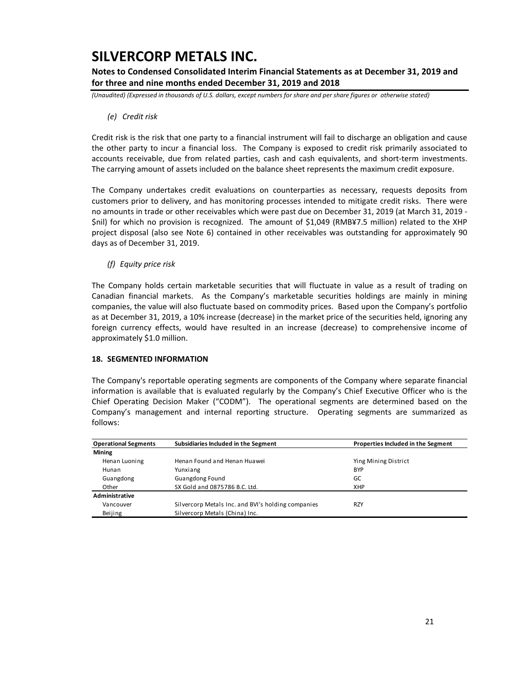**Notes to Condensed Consolidated Interim Financial Statements as at December 31, 2019 and for three and nine months ended December 31, 2019 and 2018** 

*(Unaudited) (Expressed in thousands of U.S. dollars, except numbers for share and per share figures or otherwise stated)*

### *(e) Credit risk*

Credit risk is the risk that one party to a financial instrument will fail to discharge an obligation and cause the other party to incur a financial loss. The Company is exposed to credit risk primarily associated to accounts receivable, due from related parties, cash and cash equivalents, and short-term investments. The carrying amount of assets included on the balance sheet represents the maximum credit exposure.

The Company undertakes credit evaluations on counterparties as necessary, requests deposits from customers prior to delivery, and has monitoring processes intended to mitigate credit risks. There were no amounts in trade or other receivables which were past due on December 31, 2019 (at March 31, 2019 -\$nil) for which no provision is recognized. The amount of \$1,049 (RMB¥7.5 million) related to the XHP project disposal (also see Note 6) contained in other receivables was outstanding for approximately 90 days as of December 31, 2019.

*(f) Equity price risk* 

The Company holds certain marketable securities that will fluctuate in value as a result of trading on Canadian financial markets. As the Company's marketable securities holdings are mainly in mining companies, the value will also fluctuate based on commodity prices. Based upon the Company's portfolio as at December 31, 2019, a 10% increase (decrease) in the market price of the securities held, ignoring any foreign currency effects, would have resulted in an increase (decrease) to comprehensive income of approximately \$1.0 million.

### **18. SEGMENTED INFORMATION**

The Company's reportable operating segments are components of the Company where separate financial information is available that is evaluated regularly by the Company's Chief Executive Officer who is the Chief Operating Decision Maker ("CODM"). The operational segments are determined based on the Company's management and internal reporting structure. Operating segments are summarized as follows:

| <b>Operational Segments</b> | Subsidiaries Included in the Segment               | Properties Included in the Segment |
|-----------------------------|----------------------------------------------------|------------------------------------|
| <b>Mining</b>               |                                                    |                                    |
| Henan Luoning               | Henan Found and Henan Huawei                       | Ying Mining District               |
| Hunan                       | Yunxiang                                           | <b>BYP</b>                         |
| Guangdong                   | Guangdong Found                                    | GC                                 |
| Other                       | SX Gold and 0875786 B.C. Ltd.                      | <b>XHP</b>                         |
| Administrative              |                                                    |                                    |
| Vancouver                   | Silvercorp Metals Inc. and BVI's holding companies | <b>RZY</b>                         |
| Beijing                     | Silvercorp Metals (China) Inc.                     |                                    |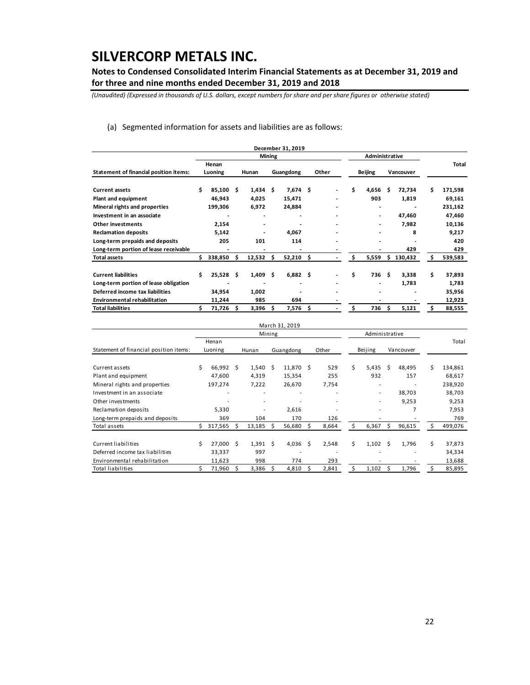**Notes to Condensed Consolidated Interim Financial Statements as at December 31, 2019 and for three and nine months ended December 31, 2019 and 2018** 

*(Unaudited) (Expressed in thousands of U.S. dollars, except numbers for share and per share figures or otherwise stated)*

(a) Segmented information for assets and liabilities are as follows:

|                                               |    |             |   |            |               | December 31, 2019 |   |       |     |                |    |                |   |         |
|-----------------------------------------------|----|-------------|---|------------|---------------|-------------------|---|-------|-----|----------------|----|----------------|---|---------|
|                                               |    |             |   |            | <b>Mining</b> |                   |   |       |     | Administrative |    |                |   |         |
|                                               |    | Henan       |   |            |               |                   |   |       |     |                |    |                |   | Total   |
| <b>Statement of financial position items:</b> |    | Luoning     |   | Hunan      |               | Guangdong         |   | Other |     | <b>Beijing</b> |    | Vancouver      |   |         |
| <b>Current assets</b>                         |    | $85,100$ \$ |   | $1,434$ \$ |               | 7,674 \$          |   |       | \$. | 4,656          | Ŝ  | 72,734         | Ś | 171,598 |
| Plant and equipment                           |    | 46,943      |   | 4,025      |               | 15,471            |   |       |     | 903            |    | 1,819          |   | 69,161  |
| Mineral rights and properties                 |    | 199,306     |   | 6,972      |               | 24,884            |   |       |     | $\blacksquare$ |    | $\blacksquare$ |   | 231,162 |
| Investment in an associate                    |    |             |   |            |               |                   |   |       |     |                |    | 47,460         |   | 47,460  |
| <b>Other investments</b>                      |    | 2,154       |   |            |               |                   |   |       |     |                |    | 7,982          |   | 10,136  |
| <b>Reclamation deposits</b>                   |    | 5,142       |   |            |               | 4,067             |   |       |     |                |    | 8              |   | 9,217   |
| Long-term prepaids and deposits               |    | 205         |   | 101        |               | 114               |   |       |     |                |    |                |   | 420     |
| Long-term portion of lease receivable         |    |             |   |            |               |                   |   |       |     |                |    | 429            |   | 429     |
| <b>Total assets</b>                           | Ś. | 338,850     | Ŝ | 12,532     | S             | $52,210$ \$       |   |       | \$. | 5,559          | Ŝ. | 130,432        | Ś | 539,583 |
| <b>Current liabilities</b>                    | Ś  | $25,528$ \$ |   | 1,409      | Ŝ             | $6,882$ \$        |   |       | Ś   | 736            | Ŝ  | 3,338          | Ś | 37,893  |
| Long-term portion of lease obligation         |    |             |   |            |               | $\blacksquare$    |   |       |     |                |    | 1,783          |   | 1,783   |
| Deferred income tax liabilities               |    | 34,954      |   | 1,002      |               |                   |   |       |     |                |    |                |   | 35,956  |
| <b>Environmental rehabilitation</b>           |    | 11,244      |   | 985        |               | 694               |   |       |     |                |    |                |   | 12,923  |
| <b>Total liabilities</b>                      |    | 71,726      | Ś | 3,396      | s             | 7,576             | Ŝ |       | Ś.  | 736            | S  | 5,121          |   | 88,555  |

|                                        |    |                  |   |                          |                     | March 31, 2019   |    |       |    |                  |    |           |    |         |
|----------------------------------------|----|------------------|---|--------------------------|---------------------|------------------|----|-------|----|------------------|----|-----------|----|---------|
|                                        |    |                  |   |                          | Mining              |                  |    |       |    | Administrative   |    |           |    |         |
| Statement of financial position items: |    | Henan<br>Luoning |   | Hunan                    |                     | Guangdong        |    | Other |    | Beijing          |    | Vancouver |    | Total   |
|                                        |    |                  |   |                          |                     |                  |    |       |    |                  |    |           |    |         |
| Current assets                         | Ś. | 66,992           | S | 1,540                    | $\ddot{\mathsf{s}}$ | $11,870 \quad $$ |    | 529   | Ś. | 5,435            | Ś. | 48,495    | Ś  | 134,861 |
| Plant and equipment                    |    | 47,600           |   | 4,319                    |                     | 15,354           |    | 255   |    | 932              |    | 157       |    | 68,617  |
| Mineral rights and properties          |    | 197,274          |   | 7,222                    |                     | 26,670           |    | 7,754 |    | ۰                |    |           |    | 238,920 |
| Investment in an associate             |    | ۰                |   | ۰                        |                     | ۰                |    | ۰     |    | ۰                |    | 38,703    |    | 38,703  |
| Other investments                      |    |                  |   | $\overline{\phantom{a}}$ |                     |                  |    |       |    | ۰                |    | 9,253     |    | 9,253   |
| Reclamation deposits                   |    | 5,330            |   | $\overline{\phantom{a}}$ |                     | 2,616            |    |       |    | $\overline{a}$   |    | 7         |    | 7,953   |
| Long-term prepaids and deposits        |    | 369              |   | 104                      |                     | 170              |    | 126   |    |                  |    |           |    | 769     |
| Total assets                           |    | 317,565          | s | 13,185                   |                     | 56,680           | Ŝ. | 8,664 | Ś  | 6,367            | Ś. | 96,615    | s  | 499,076 |
|                                        |    |                  |   |                          |                     |                  |    |       |    |                  |    |           |    |         |
| Current liabilities                    | Ś  | 27,000           | S | $1,391 \quad $$          |                     | 4,036            | Ŝ  | 2,548 | Ś. | $1,102 \quad$ \$ |    | 1,796     | \$ | 37,873  |
| Deferred income tax liabilities        |    | 33,337           |   | 997                      |                     | ۰                |    | ۰     |    |                  |    | ۰         |    | 34,334  |
| Environmental rehabilitation           |    | 11,623           |   | 998                      |                     | 774              |    | 293   |    |                  |    |           |    | 13,688  |
| <b>Total liabilities</b>               |    | 71,960           | s | 3,386                    |                     | 4.810            | S  | 2,841 | \$ | 1,102            | S  | 1,796     |    | 85,895  |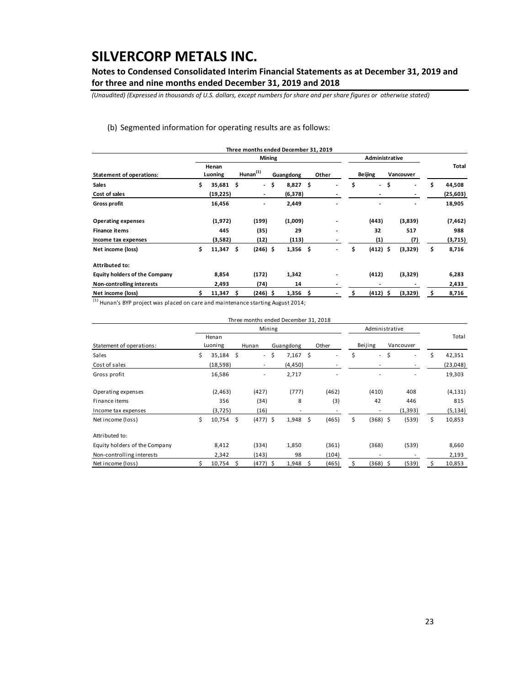**Notes to Condensed Consolidated Interim Financial Statements as at December 31, 2019 and for three and nine months ended December 31, 2019 and 2018** 

*(Unaudited) (Expressed in thousands of U.S. dollars, except numbers for share and per share figures or otherwise stated)*

### (b) Segmented information for operating results are as follows:

|                                      |                         |   | Three months ended December 31, 2019 |                  |     |                              |    |                |                      |              |
|--------------------------------------|-------------------------|---|--------------------------------------|------------------|-----|------------------------------|----|----------------|----------------------|--------------|
|                                      |                         |   | <b>Mining</b>                        |                  |     |                              |    | Administrative |                      |              |
| <b>Statement of operations:</b>      | Henan<br>Luoning        |   | Hunan $(1)$                          | Guangdong        |     | Other                        |    | <b>Beijing</b> | Vancouver            | Total        |
| <b>Sales</b>                         | \$<br>$35,681$ \$       |   | $\overline{\phantom{a}}$             | \$<br>$8,827$ \$ |     |                              | \$ | $\blacksquare$ | \$<br>$\overline{a}$ | \$<br>44,508 |
| Cost of sales                        | (19,225)                |   | ٠                                    | (6,378)          |     |                              |    |                |                      | (25, 603)    |
| <b>Gross profit</b>                  | 16,456                  |   | ٠                                    | 2,449            |     |                              |    |                |                      | 18,905       |
| <b>Operating expenses</b>            | (1,972)                 |   | (199)                                | (1,009)          |     |                              |    | (443)          | (3,839)              | (7, 462)     |
| <b>Finance items</b>                 | 445                     |   | (35)                                 | 29               |     | $\blacksquare$               |    | 32             | 517                  | 988          |
| Income tax expenses                  | (3,582)                 |   | (12)                                 | (113)            |     | $\qquad \qquad \blacksquare$ |    | (1)            | (7)                  | (3,715)      |
| Net income (loss)                    | \$<br>$11,347 \quad$ \$ |   | $(246)$ \$                           | $1,356$ \$       |     |                              | \$ | $(412)$ \$     | (3,329)              | \$<br>8,716  |
| Attributed to:                       |                         |   |                                      |                  |     |                              |    |                |                      |              |
| <b>Equity holders of the Company</b> | 8,854                   |   | (172)                                | 1,342            |     |                              |    | (412)          | (3,329)              | 6,283        |
| Non-controlling interests            | 2,493                   |   | (74)                                 | 14               |     |                              |    |                |                      | 2,433        |
| Net income (loss)                    | 11,347                  | Ŝ | (246) \$                             | 1,356            | \$. |                              |    | (412) \$       | (3,329)              | 8,716        |

 $<sup>(1)</sup>$  Hunan's BYP project was placed on care and maintenance starting August 2014;</sup>

|                               |    |                  |     | Three months ended December 31, 2018 |        |                          |    |                |                          |                                |              |
|-------------------------------|----|------------------|-----|--------------------------------------|--------|--------------------------|----|----------------|--------------------------|--------------------------------|--------------|
|                               |    |                  |     |                                      | Mining |                          |    |                | Administrative           |                                |              |
| Statement of operations:      |    | Henan<br>Luoning |     | Hunan                                |        | Guangdong                |    | Other          | Beijing                  | Vancouver                      | Total        |
| Sales                         | Ś. | $35,184$ \$      |     | $\sim$                               | \$     | $7,167$ \$               |    |                | \$<br>$\sim$             | \$<br>$\overline{\phantom{a}}$ | \$<br>42,351 |
| Cost of sales                 |    | (18, 598)        |     | $\sim$                               |        | (4,450)                  |    |                |                          |                                | (23,048)     |
| Gross profit                  |    | 16,586           |     | $\overline{\phantom{a}}$             |        | 2,717                    |    |                |                          | ٠                              | 19,303       |
| Operating expenses            |    | (2, 463)         |     | (427)                                |        | (777)                    |    | (462)          | (410)                    | 408                            | (4, 131)     |
| Finance items                 |    | 356              |     | (34)                                 |        | 8                        |    | (3)            | 42                       | 446                            | 815          |
| Income tax expenses           |    | (3, 725)         |     | (16)                                 |        | $\overline{\phantom{a}}$ |    | $\overline{a}$ | $\overline{\phantom{a}}$ | (1, 393)                       | (5, 134)     |
| Net income (loss)             | \$ | 10,754           | -\$ | $(477)$ \$                           |        | 1,948                    | \$ | (465)          | \$<br>$(368)$ \$         | (539)                          | \$<br>10,853 |
| Attributed to:                |    |                  |     |                                      |        |                          |    |                |                          |                                |              |
| Equity holders of the Company |    | 8,412            |     | (334)                                |        | 1,850                    |    | (361)          | (368)                    | (539)                          | 8,660        |
| Non-controlling interests     |    | 2,342            |     | (143)                                |        | 98                       |    | (104)          | $\overline{\phantom{a}}$ |                                | 2,193        |
| Net income (loss)             |    | $10,754$ \$      |     | (477) \$                             |        | 1,948                    | s  | (465)          | (368) \$                 | (539)                          | 10,853       |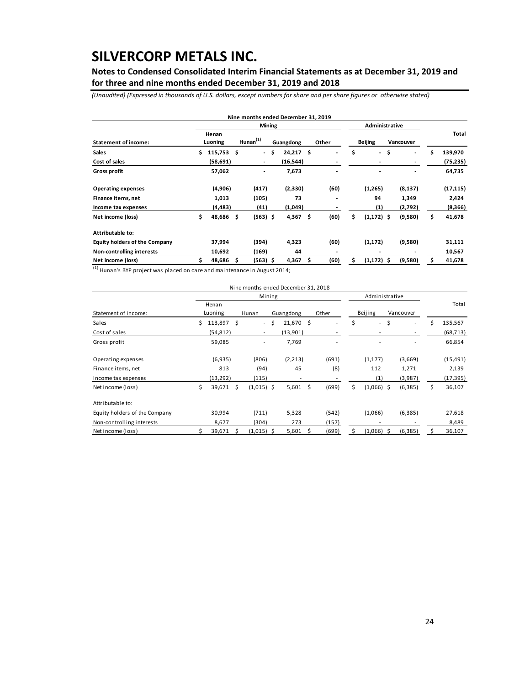**Notes to Condensed Consolidated Interim Financial Statements as at December 31, 2019 and for three and nine months ended December 31, 2019 and 2018** 

*(Unaudited) (Expressed in thousands of U.S. dollars, except numbers for share and per share figures or otherwise stated)*

|                                      |     |                  |     |                |     | Nine months ended December 31, 2019 |    |       |                                |                                |    |           |
|--------------------------------------|-----|------------------|-----|----------------|-----|-------------------------------------|----|-------|--------------------------------|--------------------------------|----|-----------|
|                                      |     |                  |     | <b>Mining</b>  |     |                                     |    |       | Administrative                 |                                |    |           |
| <b>Statement of income:</b>          |     | Henan<br>Luoning |     | Hunan $(1)$    |     | Guangdong                           |    | Other | <b>Beijing</b>                 | Vancouver                      |    | Total     |
| <b>Sales</b>                         | Ś   | $115,753$ \$     |     | $\sim$         | \$. | 24,217                              | Ŝ  |       | \$<br>$\overline{\phantom{a}}$ | \$<br>$\overline{\phantom{a}}$ | Ś  | 139,970   |
| Cost of sales                        |     | (58, 691)        |     | ۰.             |     | (16, 544)                           |    |       |                                |                                |    | (75, 235) |
| <b>Gross profit</b>                  |     | 57,062           |     | $\overline{a}$ |     | 7,673                               |    |       |                                | $\blacksquare$                 |    | 64,735    |
| <b>Operating expenses</b>            |     | (4,906)          |     | (417)          |     | (2,330)                             |    | (60)  | (1,265)                        | (8, 137)                       |    | (17, 115) |
| Finance items, net                   |     | 1,013            |     | (105)          |     | 73                                  |    |       | 94                             | 1,349                          |    | 2,424     |
| Income tax expenses                  |     | (4, 483)         |     | (41)           |     | (1,049)                             |    |       | (1)                            | (2,792)                        |    | (8,366)   |
| Net income (loss)                    | \$. | 48,686           | \$. | $(563)$ \$     |     | 4,367                               | \$ | (60)  | \$<br>$(1, 172)$ \$            | (9,580)                        | \$ | 41,678    |
| Attributable to:                     |     |                  |     |                |     |                                     |    |       |                                |                                |    |           |
| <b>Equity holders of the Company</b> |     | 37,994           |     | (394)          |     | 4,323                               |    | (60)  | (1, 172)                       | (9,580)                        |    | 31,111    |
| Non-controlling interests            |     | 10,692           |     | (169)          |     | 44                                  |    |       |                                |                                |    | 10,567    |
| Net income (loss)                    |     | 48,686           | S   | $(563)$ \$     |     | 4,367                               | Ŝ  | (60)  | \$<br>$(1,172)$ \$             | (9,580)                        |    | 41,678    |

 $<sup>(1)</sup>$  Hunan's BYP project was placed on care and maintenance in August 2014;</sup>

|                               |    |                  |    | Nine months ended December 31, 2018 |    |           |     |       |    |                          |     |                          |    |           |
|-------------------------------|----|------------------|----|-------------------------------------|----|-----------|-----|-------|----|--------------------------|-----|--------------------------|----|-----------|
|                               |    |                  |    | Mining                              |    |           |     |       |    | Administrative           |     |                          |    |           |
| Statement of income:          |    | Henan<br>Luoning |    | Hunan                               |    | Guangdong |     | Other |    | Beijing                  |     | Vancouver                |    | Total     |
| Sales                         | Ś. | 113,897 \$       |    | $\sim$                              | Ŝ. | 21,670    | \$. |       | \$ | $\overline{\phantom{a}}$ | \$  | $\overline{\phantom{a}}$ | Ś  | 135,567   |
| Cost of sales                 |    | (54, 812)        |    | $\sim$                              |    | (13,901)  |     |       |    |                          |     |                          |    | (68, 713) |
| Gross profit                  |    | 59,085           |    | $\overline{\phantom{0}}$            |    | 7,769     |     |       |    |                          |     |                          |    | 66,854    |
| Operating expenses            |    | (6,935)          |    | (806)                               |    | (2, 213)  |     | (691) |    | (1, 177)                 |     | (3,669)                  |    | (15, 491) |
| Finance items, net            |    | 813              |    | (94)                                |    | 45        |     | (8)   |    | 112                      |     | 1,271                    |    | 2,139     |
| Income tax expenses           |    | (13, 292)        |    | (115)                               |    | ٠         |     |       |    | (1)                      |     | (3,987)                  |    | (17, 395) |
| Net income (loss)             | \$ | 39,671           | Ŝ. | $(1,015)$ \$                        |    | 5,601     | \$  | (699) | \$ | $(1,066)$ \$             |     | (6, 385)                 | Ś. | 36,107    |
| Attributable to:              |    |                  |    |                                     |    |           |     |       |    |                          |     |                          |    |           |
| Equity holders of the Company |    | 30,994           |    | (711)                               |    | 5,328     |     | (542) |    | (1,066)                  |     | (6, 385)                 |    | 27,618    |
| Non-controlling interests     |    | 8,677            |    | (304)                               |    | 273       |     | (157) |    |                          |     |                          |    | 8,489     |
| Net income (loss)             |    | 39,671           | S  | $(1,015)$ \$                        |    | 5,601     | Ŝ.  | (699) | Ś. | (1,066)                  | - Ś | (6, 385)                 | Ś  | 36,107    |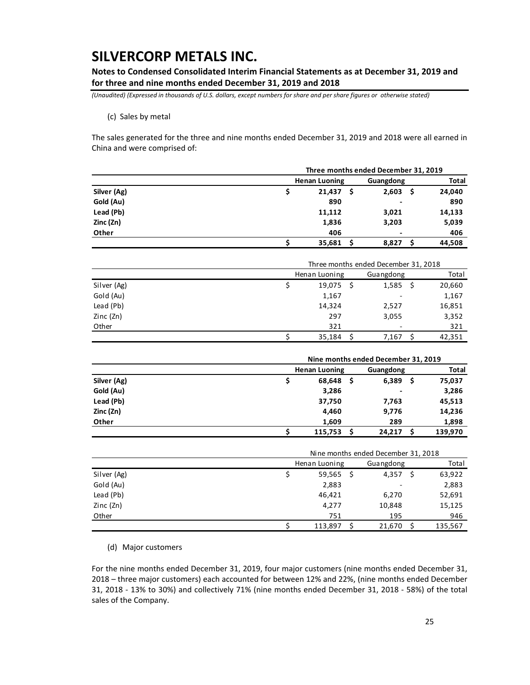**Notes to Condensed Consolidated Interim Financial Statements as at December 31, 2019 and for three and nine months ended December 31, 2019 and 2018** 

*(Unaudited) (Expressed in thousands of U.S. dollars, except numbers for share and per share figures or otherwise stated)*

(c) Sales by metal

The sales generated for the three and nine months ended December 31, 2019 and 2018 were all earned in China and were comprised of:

|                         |    | Three months ended December 31, 2019 |     |           |              |        |
|-------------------------|----|--------------------------------------|-----|-----------|--------------|--------|
|                         |    | <b>Henan Luoning</b>                 |     | Guangdong | <b>Total</b> |        |
| Silver (Ag)             |    | 21,437                               | -S  | 2,603     | -S           | 24,040 |
| Gold (Au)               |    | 890                                  |     |           |              | 890    |
| Lead (Pb)               |    | 11,112                               |     | 3,021     |              | 14,133 |
| Zinc (Zn)               |    | 1,836                                |     | 3,203     |              | 5,039  |
| Other                   |    | 406                                  |     |           |              | 406    |
|                         |    | 35,681                               | S   | 8,827     | Ŝ            | 44,508 |
|                         |    | Three months ended December 31, 2018 |     |           |              |        |
|                         |    | Henan Luoning                        |     | Guangdong |              | Total  |
| Silver (Ag)             | \$ | 19,075                               | - Ś | 1,585     | -\$          | 20,660 |
| C <sub>ol</sub> d (0,0) |    | 1.1C                                 |     |           |              | 1.1C   |

|             | 35,184 | 7,167        | 42,351 |
|-------------|--------|--------------|--------|
| Other       | 321    | ٠            | 321    |
| Zinc (Zn)   | 297    | 3,055        | 3,352  |
| Lead (Pb)   | 14,324 | 2,527        | 16,851 |
| Gold (Au)   | 1,167  | ٠            | 1,167  |
| Silver (Ag) | 19,075 | 1,585<br>- 5 | 20,660 |

|             | Nine months ended December 31, 2019 |   |                          |           |         |  |
|-------------|-------------------------------------|---|--------------------------|-----------|---------|--|
|             | <b>Henan Luoning</b>                |   |                          | Guangdong |         |  |
| Silver (Ag) | 68,648                              | s | 6,389                    | S         | 75,037  |  |
| Gold (Au)   | 3,286                               |   | $\overline{\phantom{0}}$ |           | 3,286   |  |
| Lead (Pb)   | 37,750                              |   | 7,763                    |           | 45,513  |  |
| Zinc (Zn)   | 4,460                               |   | 9,776                    |           | 14,236  |  |
| Other       | 1,609                               |   | 289                      |           | 1,898   |  |
|             | 115,753                             |   | 24.217                   |           | 139.970 |  |

|             | Nine months ended December 31, 2018 |   |                          |   |         |  |
|-------------|-------------------------------------|---|--------------------------|---|---------|--|
|             | Henan Luoning                       |   | Guangdong                |   | Total   |  |
| Silver (Ag) | 59,565                              | S | 4,357                    | S | 63,922  |  |
| Gold (Au)   | 2,883                               |   | $\overline{\phantom{0}}$ |   | 2,883   |  |
| Lead (Pb)   | 46,421                              |   | 6,270                    |   | 52,691  |  |
| Zinc (Zn)   | 4,277                               |   | 10,848                   |   | 15,125  |  |
| Other       | 751                                 |   | 195                      |   | 946     |  |
|             | 113.897                             |   | 21.670                   |   | 135,567 |  |

(d) Major customers

For the nine months ended December 31, 2019, four major customers (nine months ended December 31, 2018 – three major customers) each accounted for between 12% and 22%, (nine months ended December 31, 2018 ‐ 13% to 30%) and collectively 71% (nine months ended December 31, 2018 ‐ 58%) of the total sales of the Company.